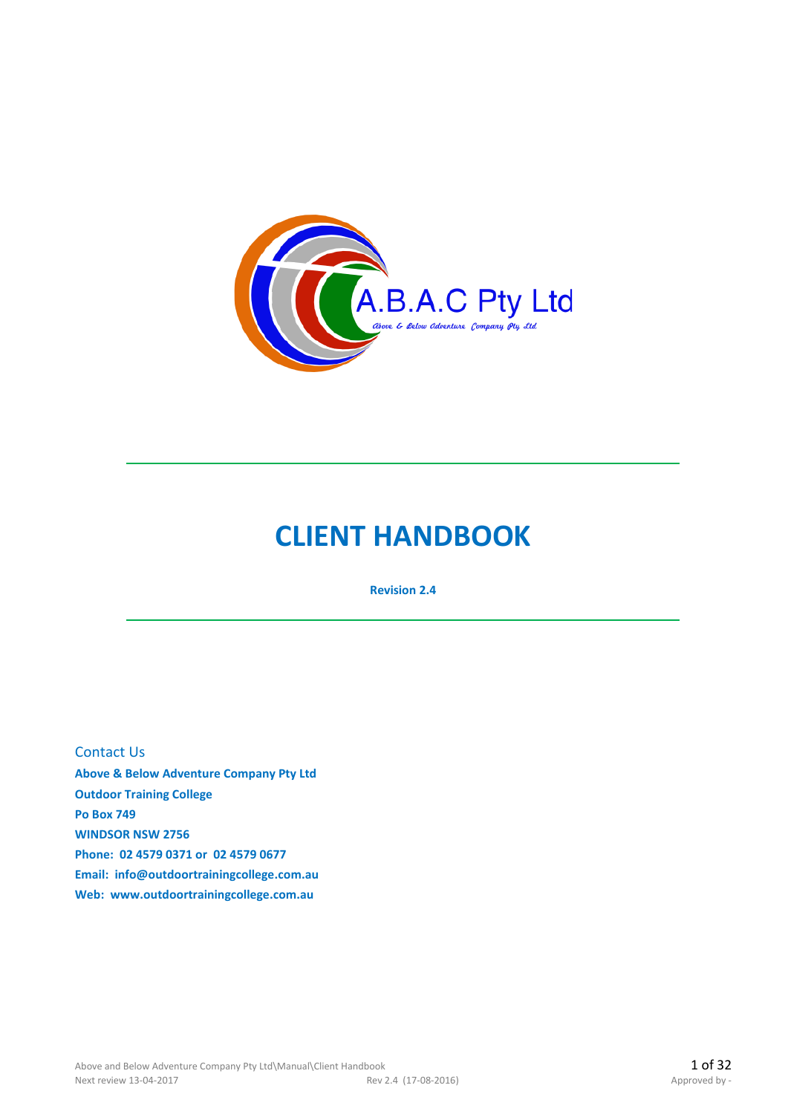

# **CLIENT HANDBOOK**

**Revision 2.4**

Contact Us

**Above & Below Adventure Company Pty Ltd Outdoor Training College Po Box 749 WINDSOR NSW 2756 Phone: 02 4579 0371 or 02 4579 0677 Email: info@outdoortrainingcollege.com.au Web: www.outdoortrainingcollege.com.au**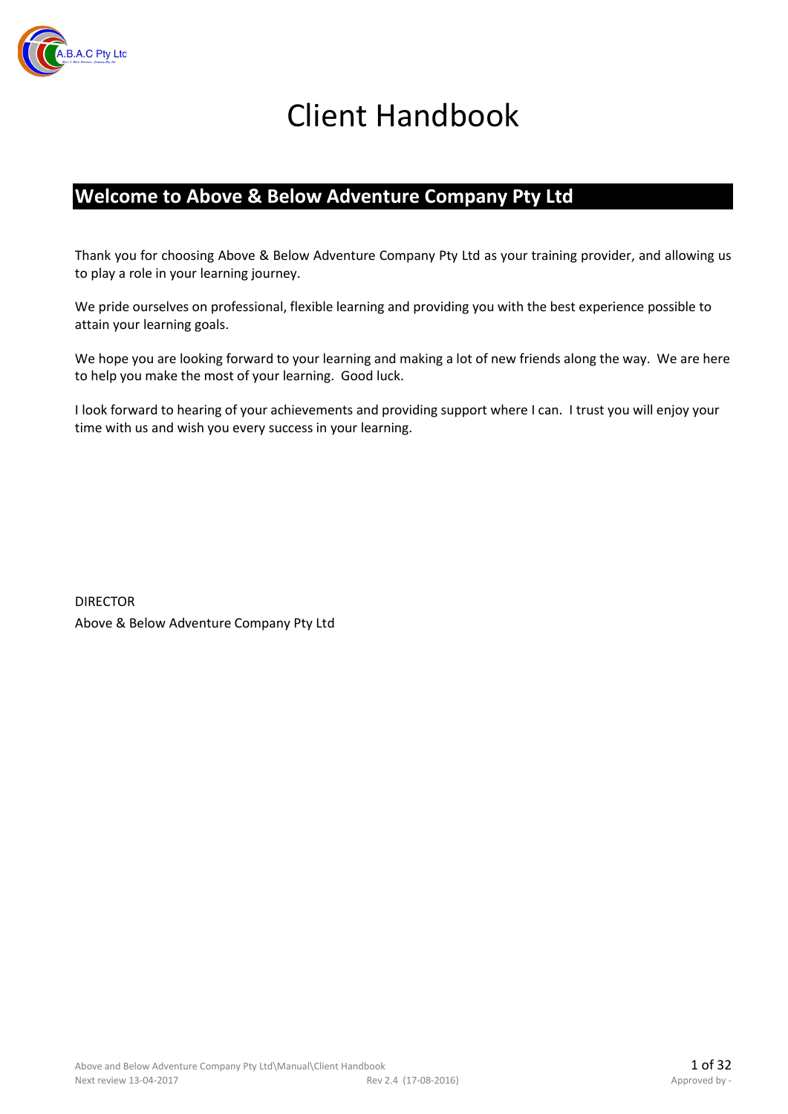

# Client Handbook

### **Welcome to Above & Below Adventure Company Pty Ltd**

Thank you for choosing Above & Below Adventure Company Pty Ltd as your training provider, and allowing us to play a role in your learning journey.

We pride ourselves on professional, flexible learning and providing you with the best experience possible to attain your learning goals.

We hope you are looking forward to your learning and making a lot of new friends along the way. We are here to help you make the most of your learning. Good luck.

I look forward to hearing of your achievements and providing support where I can. I trust you will enjoy your time with us and wish you every success in your learning.

DIRECTOR Above & Below Adventure Company Pty Ltd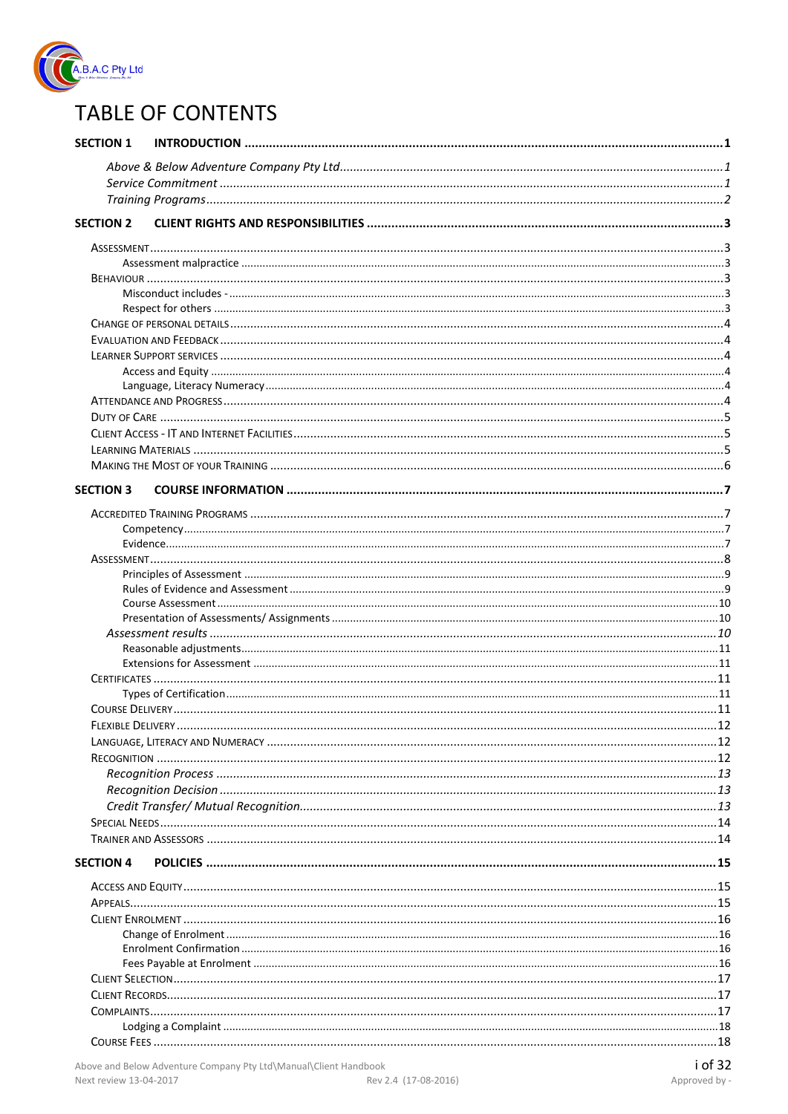

## **TABLE OF CONTENTS**

| <b>SECTION 1</b> |                                                                  |         |  |
|------------------|------------------------------------------------------------------|---------|--|
|                  |                                                                  |         |  |
|                  |                                                                  |         |  |
|                  |                                                                  |         |  |
| <b>SECTION 2</b> |                                                                  |         |  |
|                  |                                                                  |         |  |
|                  |                                                                  |         |  |
|                  |                                                                  |         |  |
|                  |                                                                  |         |  |
|                  |                                                                  |         |  |
|                  |                                                                  |         |  |
|                  |                                                                  |         |  |
|                  |                                                                  |         |  |
|                  |                                                                  |         |  |
|                  |                                                                  |         |  |
|                  |                                                                  |         |  |
|                  |                                                                  |         |  |
|                  |                                                                  |         |  |
|                  |                                                                  |         |  |
|                  |                                                                  |         |  |
| <b>SECTION 3</b> |                                                                  |         |  |
|                  |                                                                  |         |  |
|                  |                                                                  |         |  |
|                  |                                                                  |         |  |
|                  |                                                                  |         |  |
|                  |                                                                  |         |  |
|                  |                                                                  |         |  |
|                  |                                                                  |         |  |
|                  |                                                                  |         |  |
|                  |                                                                  |         |  |
|                  |                                                                  |         |  |
|                  |                                                                  |         |  |
|                  |                                                                  |         |  |
|                  |                                                                  |         |  |
|                  |                                                                  |         |  |
|                  |                                                                  |         |  |
|                  |                                                                  |         |  |
|                  |                                                                  |         |  |
|                  |                                                                  |         |  |
|                  |                                                                  |         |  |
|                  |                                                                  |         |  |
|                  |                                                                  |         |  |
| <b>SECTION 4</b> |                                                                  |         |  |
|                  |                                                                  |         |  |
|                  |                                                                  |         |  |
|                  |                                                                  |         |  |
|                  |                                                                  |         |  |
|                  |                                                                  |         |  |
|                  |                                                                  |         |  |
|                  |                                                                  |         |  |
|                  |                                                                  |         |  |
|                  |                                                                  |         |  |
|                  |                                                                  |         |  |
|                  |                                                                  |         |  |
|                  | Above and Below Adventure Company Pty Ltd\Manual\Client Handbook | i of 32 |  |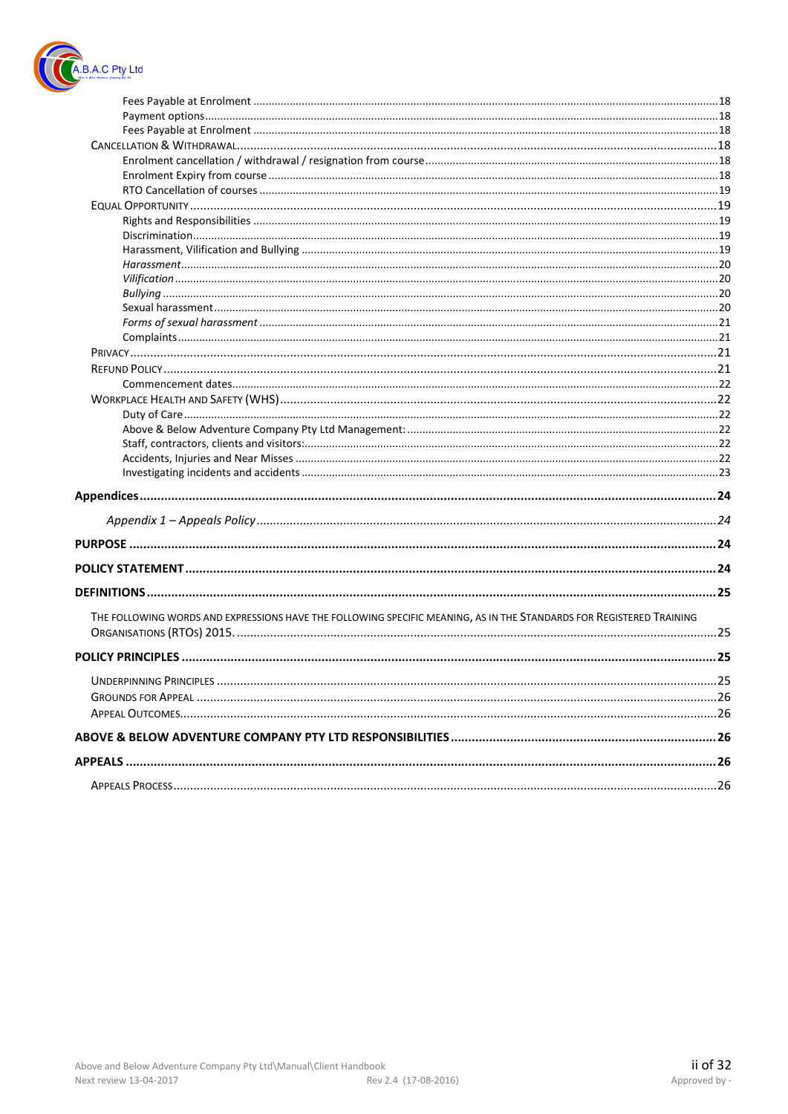

| THE FOLLOWING WORDS AND EXPRESSIONS HAVE THE FOLLOWING SPECIFIC MEANING, AS IN THE STANDARDS FOR REGISTERED TRAINING |  |
|----------------------------------------------------------------------------------------------------------------------|--|
|                                                                                                                      |  |
|                                                                                                                      |  |
|                                                                                                                      |  |
|                                                                                                                      |  |
|                                                                                                                      |  |
|                                                                                                                      |  |
|                                                                                                                      |  |
|                                                                                                                      |  |
|                                                                                                                      |  |
|                                                                                                                      |  |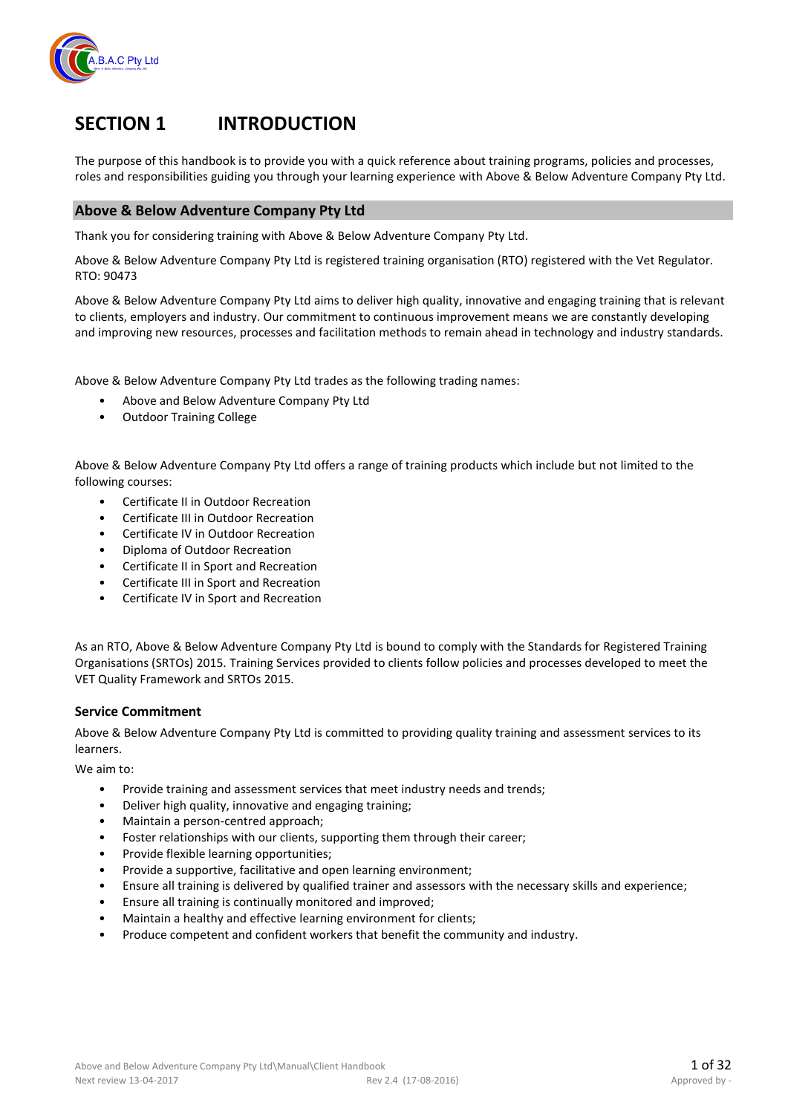

## **SECTION 1 INTRODUCTION**

The purpose of this handbook is to provide you with a quick reference about training programs, policies and processes, roles and responsibilities guiding you through your learning experience with Above & Below Adventure Company Pty Ltd.

#### **Above & Below Adventure Company Pty Ltd**

Thank you for considering training with Above & Below Adventure Company Pty Ltd.

Above & Below Adventure Company Pty Ltd is registered training organisation (RTO) registered with the Vet Regulator. RTO: 90473

Above & Below Adventure Company Pty Ltd aims to deliver high quality, innovative and engaging training that is relevant to clients, employers and industry. Our commitment to continuous improvement means we are constantly developing and improving new resources, processes and facilitation methods to remain ahead in technology and industry standards.

Above & Below Adventure Company Pty Ltd trades as the following trading names:

- Above and Below Adventure Company Pty Ltd
- Outdoor Training College

Above & Below Adventure Company Pty Ltd offers a range of training products which include but not limited to the following courses:

- Certificate II in Outdoor Recreation
- Certificate III in Outdoor Recreation
- Certificate IV in Outdoor Recreation
- Diploma of Outdoor Recreation
- Certificate II in Sport and Recreation
- Certificate III in Sport and Recreation
- Certificate IV in Sport and Recreation

As an RTO, Above & Below Adventure Company Pty Ltd is bound to comply with the Standards for Registered Training Organisations (SRTOs) 2015. Training Services provided to clients follow policies and processes developed to meet the VET Quality Framework and SRTOs 2015.

#### **Service Commitment**

Above & Below Adventure Company Pty Ltd is committed to providing quality training and assessment services to its learners.

We aim to:

- Provide training and assessment services that meet industry needs and trends;
- Deliver high quality, innovative and engaging training;
- Maintain a person-centred approach;
- Foster relationships with our clients, supporting them through their career;
- Provide flexible learning opportunities;
- Provide a supportive, facilitative and open learning environment;
- Ensure all training is delivered by qualified trainer and assessors with the necessary skills and experience;
- Ensure all training is continually monitored and improved;
- Maintain a healthy and effective learning environment for clients;
- Produce competent and confident workers that benefit the community and industry.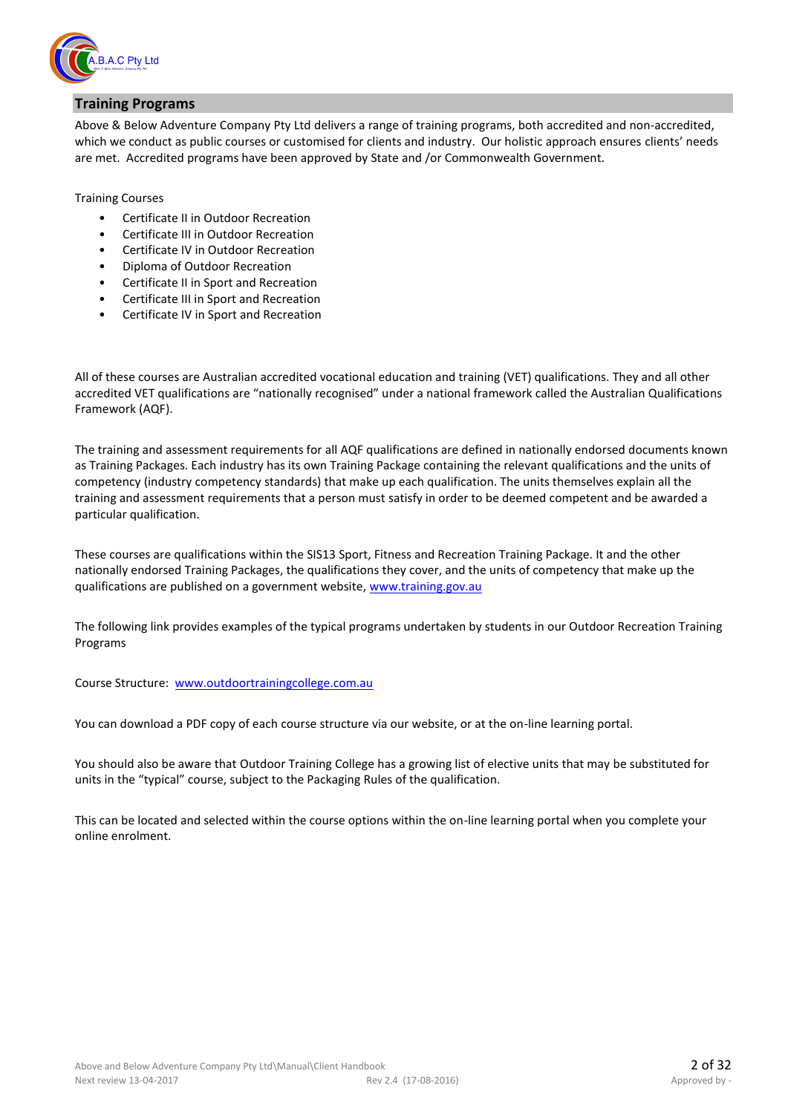

#### **Training Programs**

Above & Below Adventure Company Pty Ltd delivers a range of training programs, both accredited and non-accredited, which we conduct as public courses or customised for clients and industry. Our holistic approach ensures clients' needs are met. Accredited programs have been approved by State and /or Commonwealth Government.

Training Courses

- Certificate II in Outdoor Recreation
- Certificate III in Outdoor Recreation
- Certificate IV in Outdoor Recreation
- Diploma of Outdoor Recreation
- Certificate II in Sport and Recreation
- Certificate III in Sport and Recreation
- Certificate IV in Sport and Recreation

All of these courses are Australian accredited vocational education and training (VET) qualifications. They and all other accredited VET qualifications are "nationally recognised" under a national framework called the Australian Qualifications Framework (AQF).

The training and assessment requirements for all AQF qualifications are defined in nationally endorsed documents known as Training Packages. Each industry has its own Training Package containing the relevant qualifications and the units of competency (industry competency standards) that make up each qualification. The units themselves explain all the training and assessment requirements that a person must satisfy in order to be deemed competent and be awarded a particular qualification.

These courses are qualifications within the SIS13 Sport, Fitness and Recreation Training Package. It and the other nationally endorsed Training Packages, the qualifications they cover, and the units of competency that make up the qualifications are published on a government website, [www.training.gov.au](http://www.training.gov.au/)

The following link provides examples of the typical programs undertaken by students in our Outdoor Recreation Training Programs

Course Structure: [www.outdoortrainingcollege.com.au](http://www.outdoortrainingcollege.com.au/)

You can download a PDF copy of each course structure via our website, or at the on-line learning portal.

You should also be aware that Outdoor Training College has a growing list of elective units that may be substituted for units in the "typical" course, subject to the Packaging Rules of the qualification.

This can be located and selected within the course options within the on-line learning portal when you complete your online enrolment.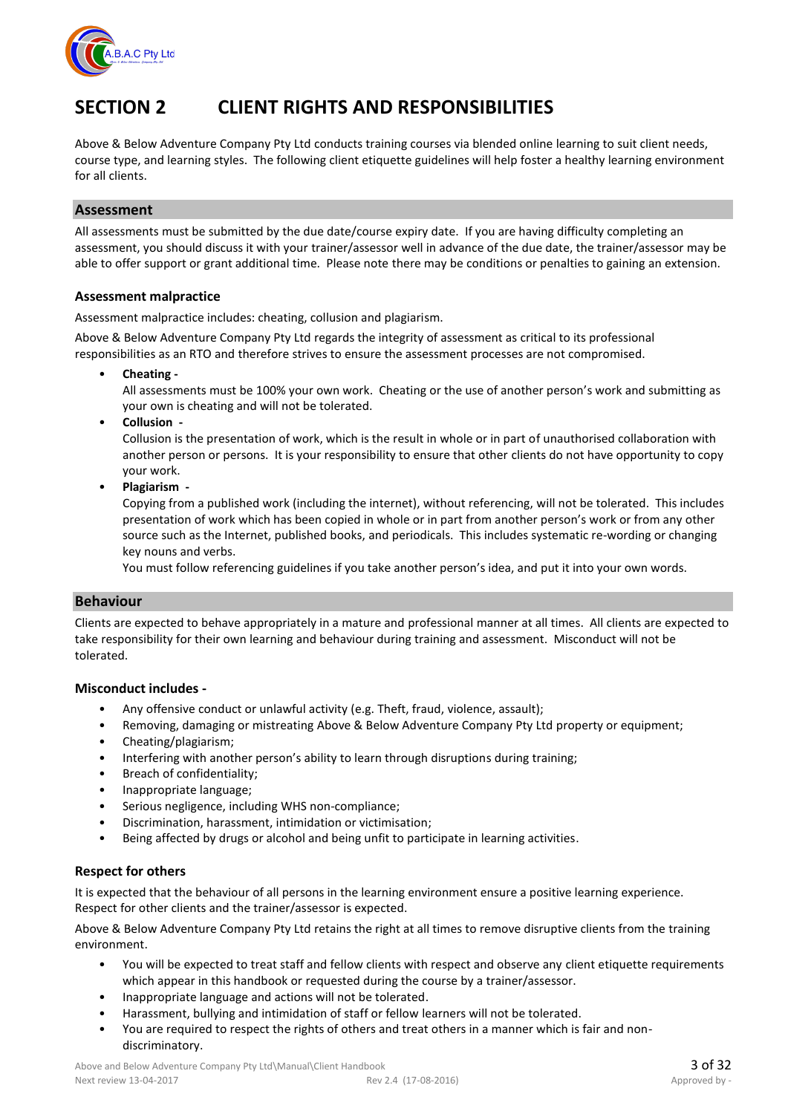

## **SECTION 2 CLIENT RIGHTS AND RESPONSIBILITIES**

Above & Below Adventure Company Pty Ltd conducts training courses via blended online learning to suit client needs, course type, and learning styles. The following client etiquette guidelines will help foster a healthy learning environment for all clients.

#### **Assessment**

All assessments must be submitted by the due date/course expiry date. If you are having difficulty completing an assessment, you should discuss it with your trainer/assessor well in advance of the due date, the trainer/assessor may be able to offer support or grant additional time. Please note there may be conditions or penalties to gaining an extension.

#### **Assessment malpractice**

Assessment malpractice includes: cheating, collusion and plagiarism.

Above & Below Adventure Company Pty Ltd regards the integrity of assessment as critical to its professional responsibilities as an RTO and therefore strives to ensure the assessment processes are not compromised.

• **Cheating -**

All assessments must be 100% your own work. Cheating or the use of another person's work and submitting as your own is cheating and will not be tolerated.

• **Collusion -**

Collusion is the presentation of work, which is the result in whole or in part of unauthorised collaboration with another person or persons. It is your responsibility to ensure that other clients do not have opportunity to copy your work.

• **Plagiarism -**

Copying from a published work (including the internet), without referencing, will not be tolerated. This includes presentation of work which has been copied in whole or in part from another person's work or from any other source such as the Internet, published books, and periodicals. This includes systematic re-wording or changing key nouns and verbs.

You must follow referencing guidelines if you take another person's idea, and put it into your own words.

#### **Behaviour**

Clients are expected to behave appropriately in a mature and professional manner at all times. All clients are expected to take responsibility for their own learning and behaviour during training and assessment. Misconduct will not be tolerated.

#### **Misconduct includes -**

- Any offensive conduct or unlawful activity (e.g. Theft, fraud, violence, assault);
- Removing, damaging or mistreating Above & Below Adventure Company Pty Ltd property or equipment;
- Cheating/plagiarism;
- Interfering with another person's ability to learn through disruptions during training;
- Breach of confidentiality;
- Inappropriate language;
- Serious negligence, including WHS non-compliance;
- Discrimination, harassment, intimidation or victimisation;
- Being affected by drugs or alcohol and being unfit to participate in learning activities.

#### **Respect for others**

It is expected that the behaviour of all persons in the learning environment ensure a positive learning experience. Respect for other clients and the trainer/assessor is expected.

Above & Below Adventure Company Pty Ltd retains the right at all times to remove disruptive clients from the training environment.

- You will be expected to treat staff and fellow clients with respect and observe any client etiquette requirements which appear in this handbook or requested during the course by a trainer/assessor.
- Inappropriate language and actions will not be tolerated.
- Harassment, bullying and intimidation of staff or fellow learners will not be tolerated.
- You are required to respect the rights of others and treat others in a manner which is fair and nondiscriminatory.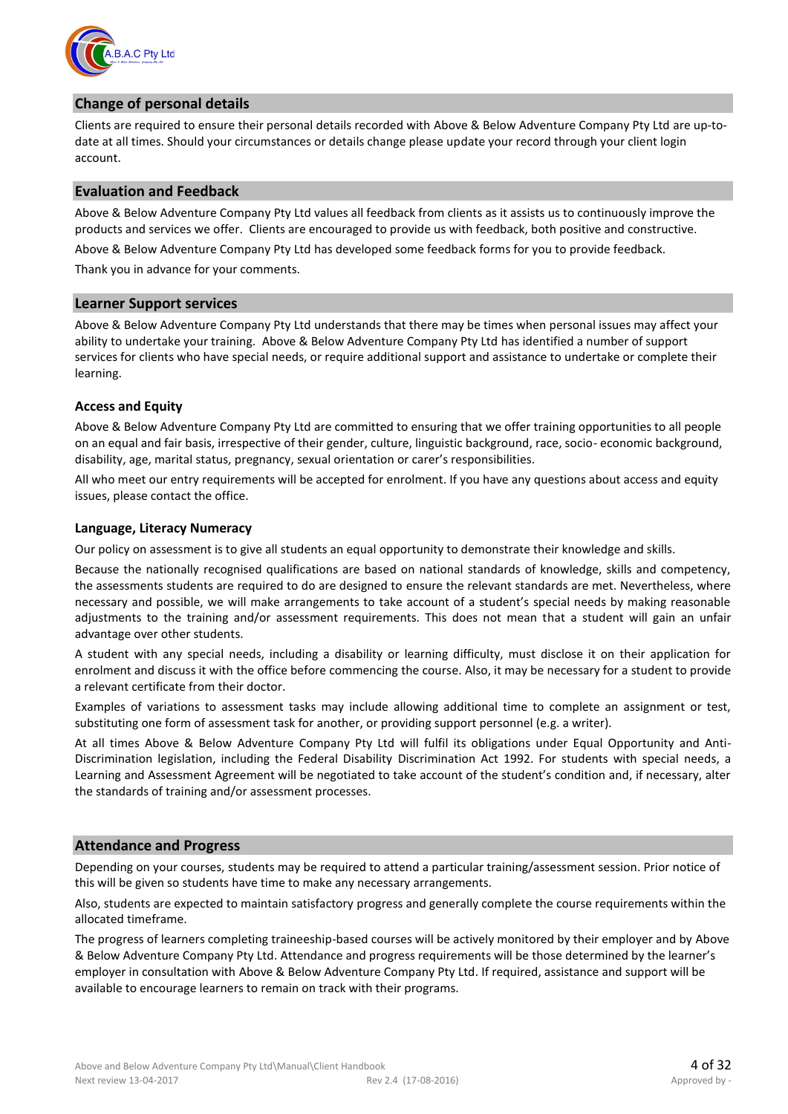

#### **Change of personal details**

Clients are required to ensure their personal details recorded with Above & Below Adventure Company Pty Ltd are up-todate at all times. Should your circumstances or details change please update your record through your client login account.

#### **Evaluation and Feedback**

Above & Below Adventure Company Pty Ltd values all feedback from clients as it assists us to continuously improve the products and services we offer. Clients are encouraged to provide us with feedback, both positive and constructive.

Above & Below Adventure Company Pty Ltd has developed some feedback forms for you to provide feedback.

Thank you in advance for your comments.

#### **Learner Support services**

Above & Below Adventure Company Pty Ltd understands that there may be times when personal issues may affect your ability to undertake your training. Above & Below Adventure Company Pty Ltd has identified a number of support services for clients who have special needs, or require additional support and assistance to undertake or complete their learning.

#### **Access and Equity**

Above & Below Adventure Company Pty Ltd are committed to ensuring that we offer training opportunities to all people on an equal and fair basis, irrespective of their gender, culture, linguistic background, race, socio- economic background, disability, age, marital status, pregnancy, sexual orientation or carer's responsibilities.

All who meet our entry requirements will be accepted for enrolment. If you have any questions about access and equity issues, please contact the office.

#### **Language, Literacy Numeracy**

Our policy on assessment is to give all students an equal opportunity to demonstrate their knowledge and skills.

Because the nationally recognised qualifications are based on national standards of knowledge, skills and competency, the assessments students are required to do are designed to ensure the relevant standards are met. Nevertheless, where necessary and possible, we will make arrangements to take account of a student's special needs by making reasonable adjustments to the training and/or assessment requirements. This does not mean that a student will gain an unfair advantage over other students.

A student with any special needs, including a disability or learning difficulty, must disclose it on their application for enrolment and discuss it with the office before commencing the course. Also, it may be necessary for a student to provide a relevant certificate from their doctor.

Examples of variations to assessment tasks may include allowing additional time to complete an assignment or test, substituting one form of assessment task for another, or providing support personnel (e.g. a writer).

At all times Above & Below Adventure Company Pty Ltd will fulfil its obligations under Equal Opportunity and Anti-Discrimination legislation, including the Federal Disability Discrimination Act 1992. For students with special needs, a Learning and Assessment Agreement will be negotiated to take account of the student's condition and, if necessary, alter the standards of training and/or assessment processes.

#### **Attendance and Progress**

Depending on your courses, students may be required to attend a particular training/assessment session. Prior notice of this will be given so students have time to make any necessary arrangements.

Also, students are expected to maintain satisfactory progress and generally complete the course requirements within the allocated timeframe.

The progress of learners completing traineeship-based courses will be actively monitored by their employer and by Above & Below Adventure Company Pty Ltd. Attendance and progress requirements will be those determined by the learner's employer in consultation with Above & Below Adventure Company Pty Ltd. If required, assistance and support will be available to encourage learners to remain on track with their programs.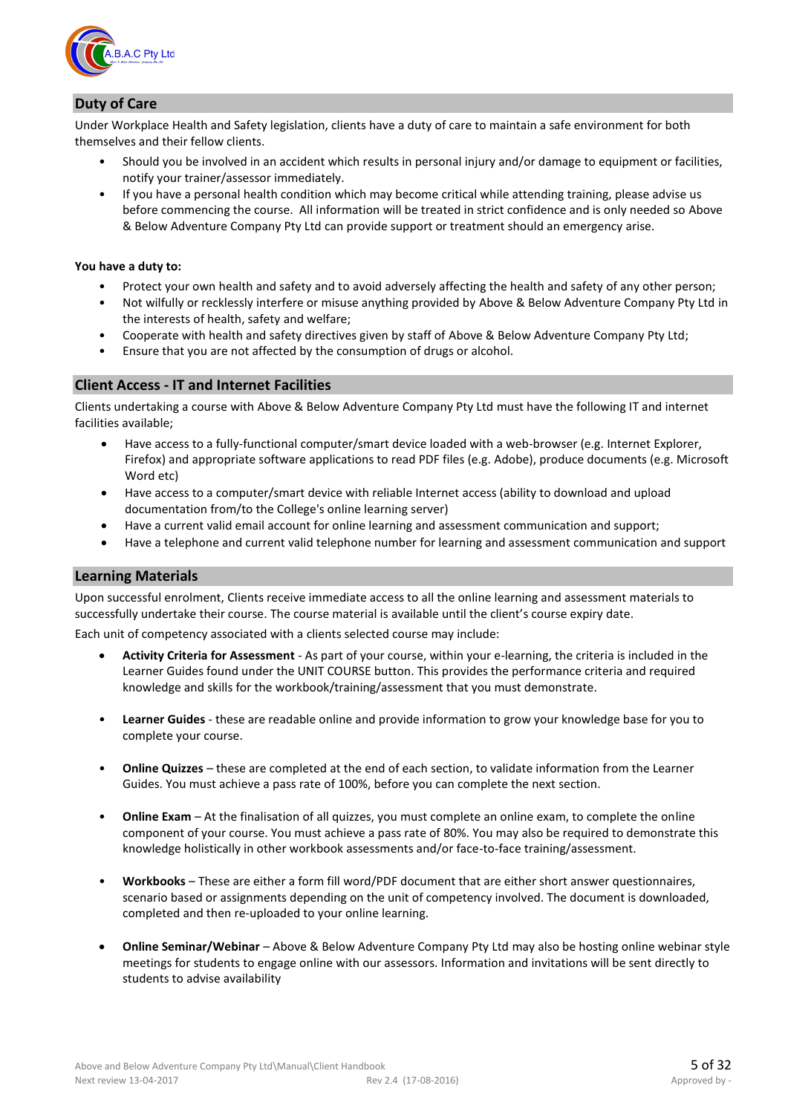

#### **Duty of Care**

Under Workplace Health and Safety legislation, clients have a duty of care to maintain a safe environment for both themselves and their fellow clients.

- Should you be involved in an accident which results in personal injury and/or damage to equipment or facilities, notify your trainer/assessor immediately.
- If you have a personal health condition which may become critical while attending training, please advise us before commencing the course. All information will be treated in strict confidence and is only needed so Above & Below Adventure Company Pty Ltd can provide support or treatment should an emergency arise.

#### **You have a duty to:**

- Protect your own health and safety and to avoid adversely affecting the health and safety of any other person;
- Not wilfully or recklessly interfere or misuse anything provided by Above & Below Adventure Company Pty Ltd in the interests of health, safety and welfare;
- Cooperate with health and safety directives given by staff of Above & Below Adventure Company Pty Ltd;
- Ensure that you are not affected by the consumption of drugs or alcohol.

#### **Client Access - IT and Internet Facilities**

Clients undertaking a course with Above & Below Adventure Company Pty Ltd must have the following IT and internet facilities available;

- Have access to a fully-functional computer/smart device loaded with a web-browser (e.g. Internet Explorer, Firefox) and appropriate software applications to read PDF files (e.g. Adobe), produce documents (e.g. Microsoft Word etc)
- Have access to a computer/smart device with reliable Internet access (ability to download and upload documentation from/to the College's online learning server)
- Have a current valid email account for online learning and assessment communication and support;
- Have a telephone and current valid telephone number for learning and assessment communication and support

#### **Learning Materials**

Upon successful enrolment, Clients receive immediate access to all the online learning and assessment materials to successfully undertake their course. The course material is available until the client's course expiry date.

Each unit of competency associated with a clients selected course may include:

- **Activity Criteria for Assessment** As part of your course, within your e-learning, the criteria is included in the Learner Guides found under the UNIT COURSE button. This provides the performance criteria and required knowledge and skills for the workbook/training/assessment that you must demonstrate.
- **Learner Guides** these are readable online and provide information to grow your knowledge base for you to complete your course.
- **Online Quizzes** these are completed at the end of each section, to validate information from the Learner Guides. You must achieve a pass rate of 100%, before you can complete the next section.
- **Online Exam** At the finalisation of all quizzes, you must complete an online exam, to complete the online component of your course. You must achieve a pass rate of 80%. You may also be required to demonstrate this knowledge holistically in other workbook assessments and/or face-to-face training/assessment.
- **Workbooks** These are either a form fill word/PDF document that are either short answer questionnaires, scenario based or assignments depending on the unit of competency involved. The document is downloaded, completed and then re-uploaded to your online learning.
- **Online Seminar/Webinar** Above & Below Adventure Company Pty Ltd may also be hosting online webinar style meetings for students to engage online with our assessors. Information and invitations will be sent directly to students to advise availability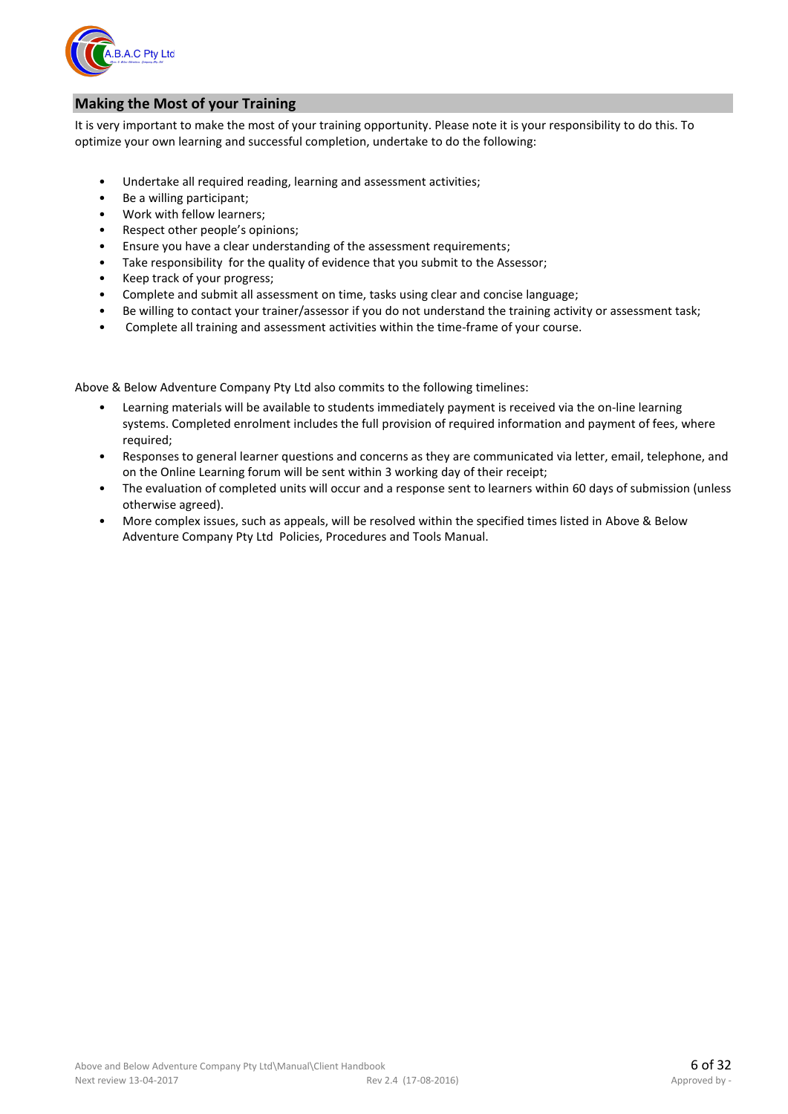

#### **Making the Most of your Training**

It is very important to make the most of your training opportunity. Please note it is your responsibility to do this. To optimize your own learning and successful completion, undertake to do the following:

- Undertake all required reading, learning and assessment activities;
- Be a willing participant;
- Work with fellow learners;
- Respect other people's opinions;
- Ensure you have a clear understanding of the assessment requirements;
- Take responsibility for the quality of evidence that you submit to the Assessor;
- Keep track of your progress;
- Complete and submit all assessment on time, tasks using clear and concise language;
- Be willing to contact your trainer/assessor if you do not understand the training activity or assessment task;
- Complete all training and assessment activities within the time-frame of your course.

Above & Below Adventure Company Pty Ltd also commits to the following timelines:

- Learning materials will be available to students immediately payment is received via the on-line learning systems. Completed enrolment includes the full provision of required information and payment of fees, where required;
- Responses to general learner questions and concerns as they are communicated via letter, email, telephone, and on the Online Learning forum will be sent within 3 working day of their receipt;
- The evaluation of completed units will occur and a response sent to learners within 60 days of submission (unless otherwise agreed).
- More complex issues, such as appeals, will be resolved within the specified times listed in Above & Below Adventure Company Pty Ltd Policies, Procedures and Tools Manual.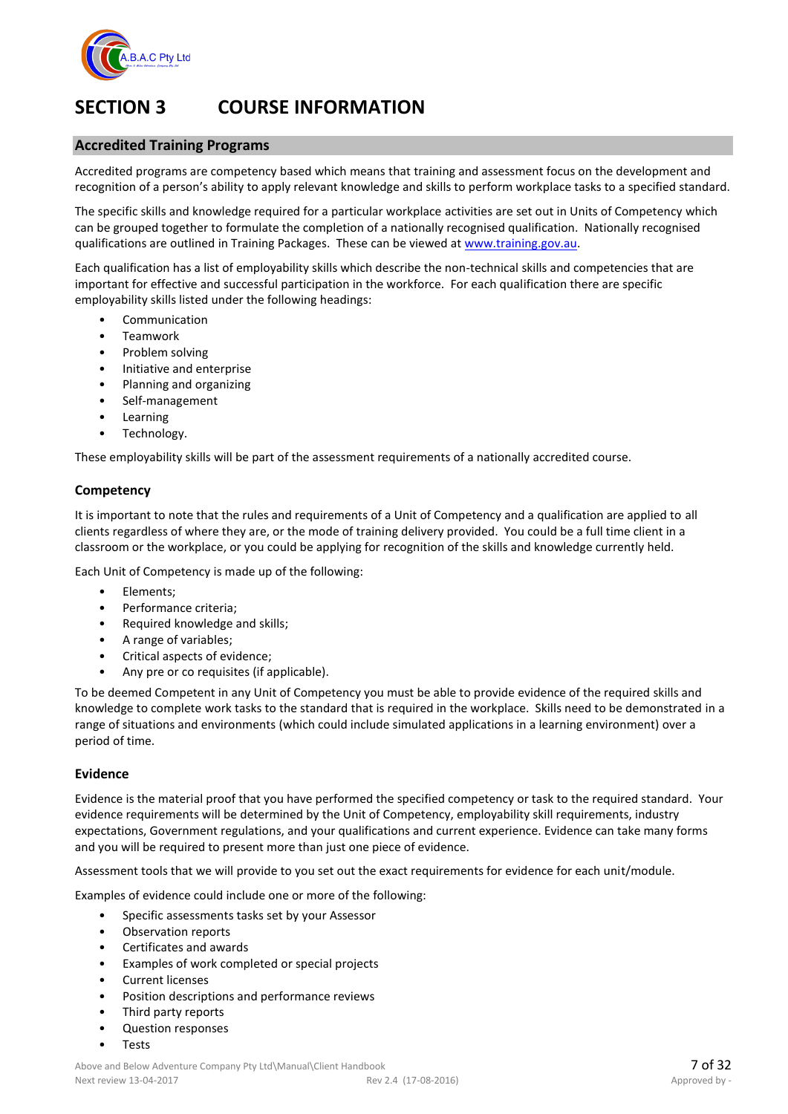

## **SECTION 3 COURSE INFORMATION**

#### **Accredited Training Programs**

Accredited programs are competency based which means that training and assessment focus on the development and recognition of a person's ability to apply relevant knowledge and skills to perform workplace tasks to a specified standard.

The specific skills and knowledge required for a particular workplace activities are set out in Units of Competency which can be grouped together to formulate the completion of a nationally recognised qualification. Nationally recognised qualifications are outlined in Training Packages. These can be viewed at [www.training.gov.au.](http://www.training.gov.au/) 

Each qualification has a list of employability skills which describe the non-technical skills and competencies that are important for effective and successful participation in the workforce. For each qualification there are specific employability skills listed under the following headings:

- **Communication**
- Teamwork
- Problem solving
- Initiative and enterprise
- Planning and organizing
- Self-management
- Learning
- Technology.

These employability skills will be part of the assessment requirements of a nationally accredited course.

#### **Competency**

It is important to note that the rules and requirements of a Unit of Competency and a qualification are applied to all clients regardless of where they are, or the mode of training delivery provided. You could be a full time client in a classroom or the workplace, or you could be applying for recognition of the skills and knowledge currently held.

Each Unit of Competency is made up of the following:

- Elements;
- Performance criteria;
- Required knowledge and skills;
- A range of variables;
- Critical aspects of evidence;
- Any pre or co requisites (if applicable).

To be deemed Competent in any Unit of Competency you must be able to provide evidence of the required skills and knowledge to complete work tasks to the standard that is required in the workplace. Skills need to be demonstrated in a range of situations and environments (which could include simulated applications in a learning environment) over a period of time.

#### **Evidence**

Evidence is the material proof that you have performed the specified competency or task to the required standard. Your evidence requirements will be determined by the Unit of Competency, employability skill requirements, industry expectations, Government regulations, and your qualifications and current experience. Evidence can take many forms and you will be required to present more than just one piece of evidence.

Assessment tools that we will provide to you set out the exact requirements for evidence for each unit/module.

Examples of evidence could include one or more of the following:

- Specific assessments tasks set by your Assessor
- Observation reports
- Certificates and awards
- Examples of work completed or special projects
- Current licenses
- Position descriptions and performance reviews
- Third party reports
- Question responses
- **Tests**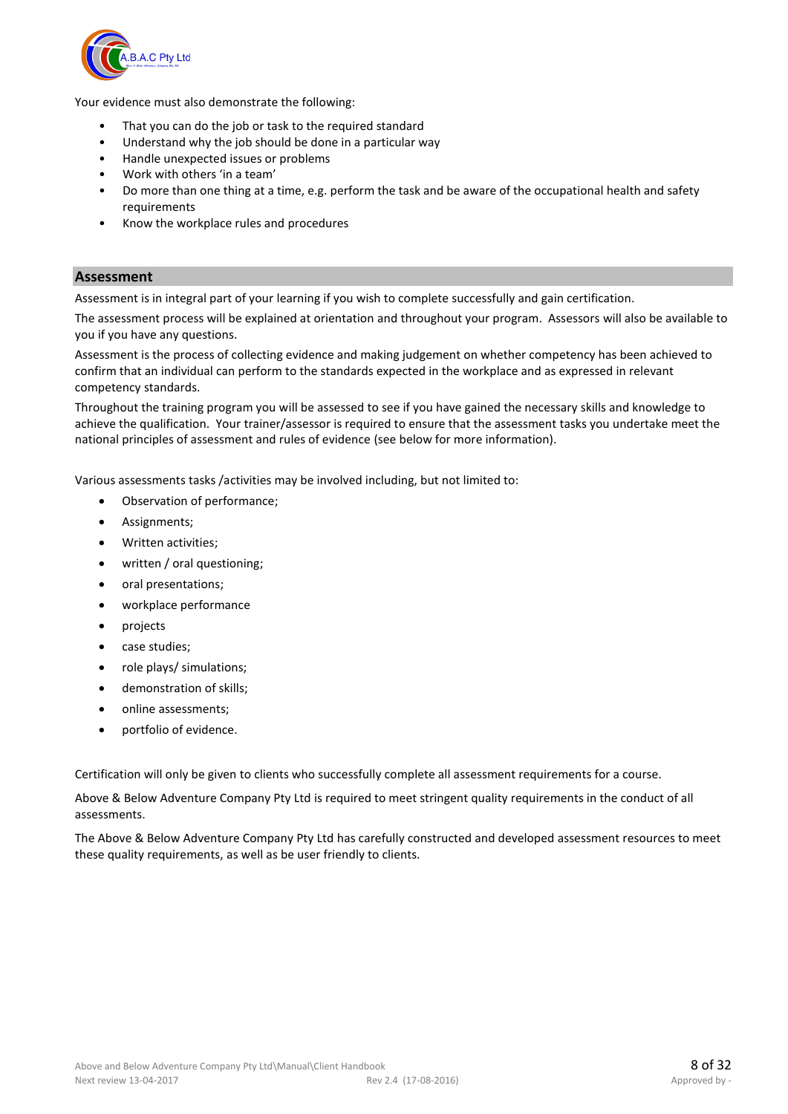

Your evidence must also demonstrate the following:

- That you can do the job or task to the required standard
- Understand why the job should be done in a particular way
- Handle unexpected issues or problems
- Work with others 'in a team'
- Do more than one thing at a time, e.g. perform the task and be aware of the occupational health and safety requirements
- Know the workplace rules and procedures

#### **Assessment**

Assessment is in integral part of your learning if you wish to complete successfully and gain certification.

The assessment process will be explained at orientation and throughout your program. Assessors will also be available to you if you have any questions.

Assessment is the process of collecting evidence and making judgement on whether competency has been achieved to confirm that an individual can perform to the standards expected in the workplace and as expressed in relevant competency standards.

Throughout the training program you will be assessed to see if you have gained the necessary skills and knowledge to achieve the qualification. Your trainer/assessor is required to ensure that the assessment tasks you undertake meet the national principles of assessment and rules of evidence (see below for more information).

Various assessments tasks /activities may be involved including, but not limited to:

- Observation of performance;
- Assignments;
- Written activities;
- written / oral questioning;
- oral presentations;
- workplace performance
- projects
- case studies;
- role plays/ simulations;
- demonstration of skills;
- online assessments;
- portfolio of evidence.

Certification will only be given to clients who successfully complete all assessment requirements for a course.

Above & Below Adventure Company Pty Ltd is required to meet stringent quality requirements in the conduct of all assessments.

The Above & Below Adventure Company Pty Ltd has carefully constructed and developed assessment resources to meet these quality requirements, as well as be user friendly to clients.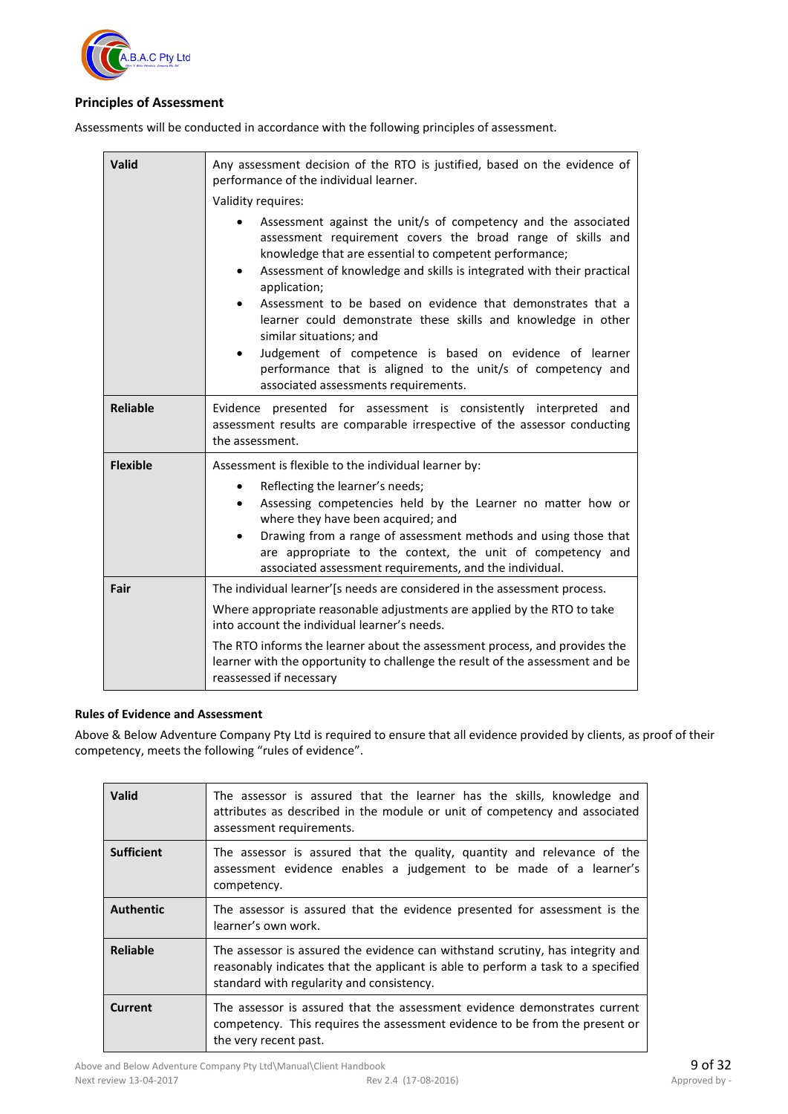

#### **Principles of Assessment**

Assessments will be conducted in accordance with the following principles of assessment.

| Valid           | Any assessment decision of the RTO is justified, based on the evidence of<br>performance of the individual learner.<br>Validity requires:                                                                                                                                                                                                                                                                                                                                                                                                                                                                                  |  |
|-----------------|----------------------------------------------------------------------------------------------------------------------------------------------------------------------------------------------------------------------------------------------------------------------------------------------------------------------------------------------------------------------------------------------------------------------------------------------------------------------------------------------------------------------------------------------------------------------------------------------------------------------------|--|
|                 | Assessment against the unit/s of competency and the associated<br>assessment requirement covers the broad range of skills and<br>knowledge that are essential to competent performance;<br>Assessment of knowledge and skills is integrated with their practical<br>$\bullet$<br>application;<br>Assessment to be based on evidence that demonstrates that a<br>learner could demonstrate these skills and knowledge in other<br>similar situations; and<br>Judgement of competence is based on evidence of learner<br>performance that is aligned to the unit/s of competency and<br>associated assessments requirements. |  |
| <b>Reliable</b> | Evidence presented for assessment is consistently interpreted and<br>assessment results are comparable irrespective of the assessor conducting<br>the assessment.                                                                                                                                                                                                                                                                                                                                                                                                                                                          |  |
| <b>Flexible</b> | Assessment is flexible to the individual learner by:<br>Reflecting the learner's needs;<br>$\bullet$<br>Assessing competencies held by the Learner no matter how or<br>$\bullet$<br>where they have been acquired; and<br>Drawing from a range of assessment methods and using those that<br>$\bullet$<br>are appropriate to the context, the unit of competency and<br>associated assessment requirements, and the individual.                                                                                                                                                                                            |  |
| Fair            | The individual learner'[s needs are considered in the assessment process.<br>Where appropriate reasonable adjustments are applied by the RTO to take<br>into account the individual learner's needs.<br>The RTO informs the learner about the assessment process, and provides the<br>learner with the opportunity to challenge the result of the assessment and be<br>reassessed if necessary                                                                                                                                                                                                                             |  |

#### **Rules of Evidence and Assessment**

Above & Below Adventure Company Pty Ltd is required to ensure that all evidence provided by clients, as proof of their competency, meets the following "rules of evidence".

| <b>Valid</b>      | The assessor is assured that the learner has the skills, knowledge and<br>attributes as described in the module or unit of competency and associated<br>assessment requirements.                                |
|-------------------|-----------------------------------------------------------------------------------------------------------------------------------------------------------------------------------------------------------------|
| <b>Sufficient</b> | The assessor is assured that the quality, quantity and relevance of the<br>assessment evidence enables a judgement to be made of a learner's<br>competency.                                                     |
| <b>Authentic</b>  | The assessor is assured that the evidence presented for assessment is the<br>learner's own work.                                                                                                                |
| <b>Reliable</b>   | The assessor is assured the evidence can withstand scrutiny, has integrity and<br>reasonably indicates that the applicant is able to perform a task to a specified<br>standard with regularity and consistency. |
| <b>Current</b>    | The assessor is assured that the assessment evidence demonstrates current<br>competency. This requires the assessment evidence to be from the present or<br>the very recent past.                               |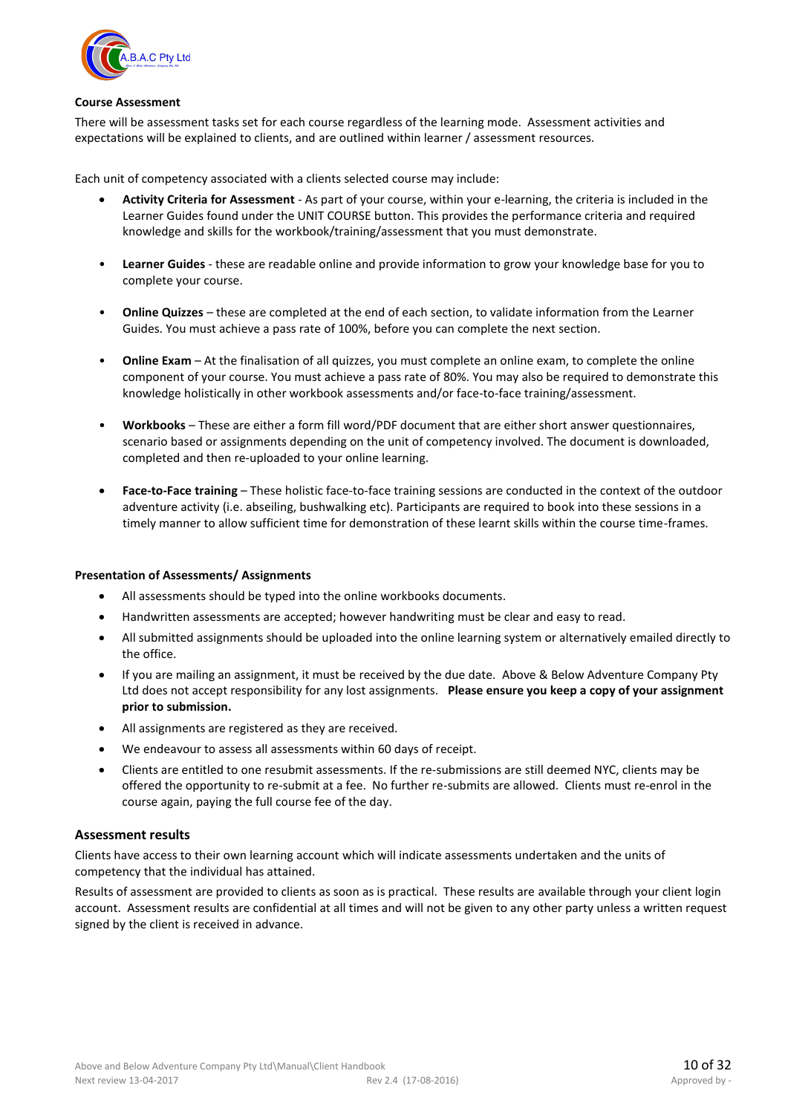

#### **Course Assessment**

There will be assessment tasks set for each course regardless of the learning mode. Assessment activities and expectations will be explained to clients, and are outlined within learner / assessment resources.

Each unit of competency associated with a clients selected course may include:

- **Activity Criteria for Assessment** As part of your course, within your e-learning, the criteria is included in the Learner Guides found under the UNIT COURSE button. This provides the performance criteria and required knowledge and skills for the workbook/training/assessment that you must demonstrate.
- **Learner Guides** these are readable online and provide information to grow your knowledge base for you to complete your course.
- **Online Quizzes** these are completed at the end of each section, to validate information from the Learner Guides. You must achieve a pass rate of 100%, before you can complete the next section.
- **Online Exam** At the finalisation of all quizzes, you must complete an online exam, to complete the online component of your course. You must achieve a pass rate of 80%. You may also be required to demonstrate this knowledge holistically in other workbook assessments and/or face-to-face training/assessment.
- **Workbooks** These are either a form fill word/PDF document that are either short answer questionnaires, scenario based or assignments depending on the unit of competency involved. The document is downloaded, completed and then re-uploaded to your online learning.
- **Face-to-Face training** These holistic face-to-face training sessions are conducted in the context of the outdoor adventure activity (i.e. abseiling, bushwalking etc). Participants are required to book into these sessions in a timely manner to allow sufficient time for demonstration of these learnt skills within the course time-frames.

#### **Presentation of Assessments/ Assignments**

- All assessments should be typed into the online workbooks documents.
- Handwritten assessments are accepted; however handwriting must be clear and easy to read.
- All submitted assignments should be uploaded into the online learning system or alternatively emailed directly to the office.
- If you are mailing an assignment, it must be received by the due date. Above & Below Adventure Company Pty Ltd does not accept responsibility for any lost assignments. **Please ensure you keep a copy of your assignment prior to submission.**
- All assignments are registered as they are received.
- We endeavour to assess all assessments within 60 days of receipt.
- Clients are entitled to one resubmit assessments. If the re-submissions are still deemed NYC, clients may be offered the opportunity to re-submit at a fee. No further re-submits are allowed. Clients must re-enrol in the course again, paying the full course fee of the day.

#### **Assessment results**

Clients have access to their own learning account which will indicate assessments undertaken and the units of competency that the individual has attained.

Results of assessment are provided to clients as soon as is practical. These results are available through your client login account. Assessment results are confidential at all times and will not be given to any other party unless a written request signed by the client is received in advance.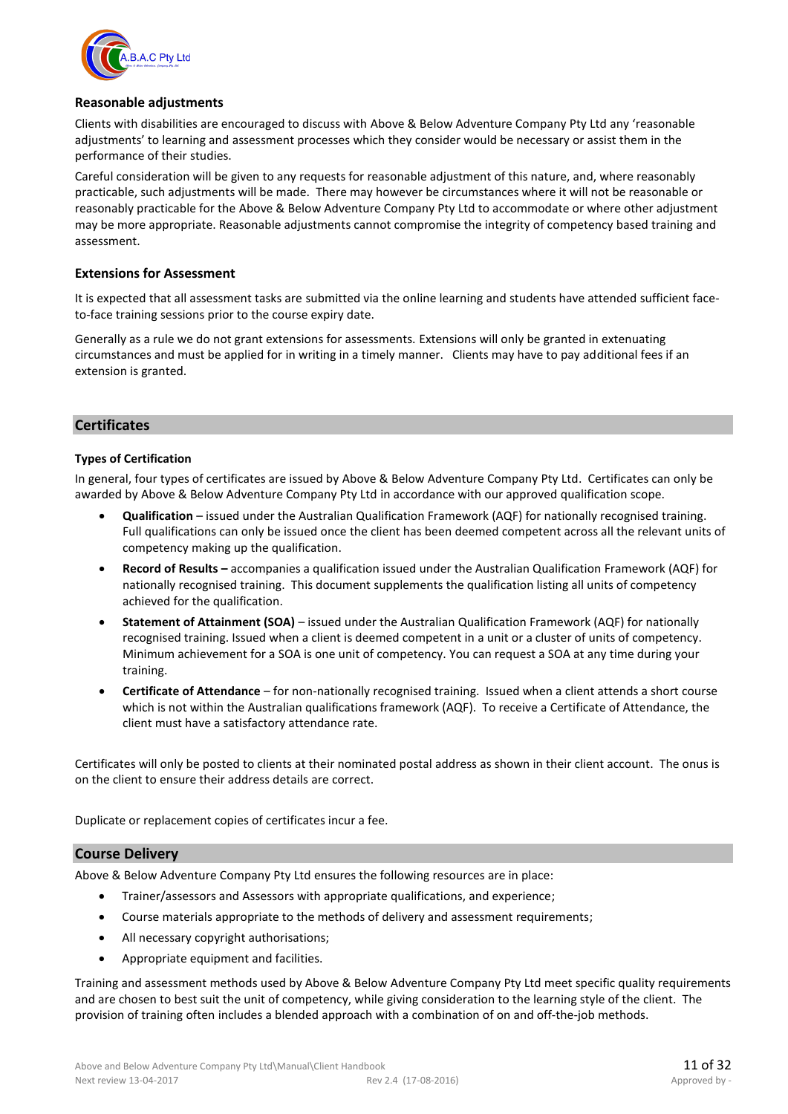

#### **Reasonable adjustments**

Clients with disabilities are encouraged to discuss with Above & Below Adventure Company Pty Ltd any 'reasonable adjustments' to learning and assessment processes which they consider would be necessary or assist them in the performance of their studies.

Careful consideration will be given to any requests for reasonable adjustment of this nature, and, where reasonably practicable, such adjustments will be made. There may however be circumstances where it will not be reasonable or reasonably practicable for the Above & Below Adventure Company Pty Ltd to accommodate or where other adjustment may be more appropriate. Reasonable adjustments cannot compromise the integrity of competency based training and assessment.

#### **Extensions for Assessment**

It is expected that all assessment tasks are submitted via the online learning and students have attended sufficient faceto-face training sessions prior to the course expiry date.

Generally as a rule we do not grant extensions for assessments. Extensions will only be granted in extenuating circumstances and must be applied for in writing in a timely manner. Clients may have to pay additional fees if an extension is granted.

#### **Certificates**

#### **Types of Certification**

In general, four types of certificates are issued by Above & Below Adventure Company Pty Ltd. Certificates can only be awarded by Above & Below Adventure Company Pty Ltd in accordance with our approved qualification scope.

- **Qualification** issued under the Australian Qualification Framework (AQF) for nationally recognised training. Full qualifications can only be issued once the client has been deemed competent across all the relevant units of competency making up the qualification.
- **Record of Results –** accompanies a qualification issued under the Australian Qualification Framework (AQF) for nationally recognised training. This document supplements the qualification listing all units of competency achieved for the qualification.
- **Statement of Attainment (SOA)**  issued under the Australian Qualification Framework (AQF) for nationally recognised training. Issued when a client is deemed competent in a unit or a cluster of units of competency. Minimum achievement for a SOA is one unit of competency. You can request a SOA at any time during your training.
- **Certificate of Attendance**  for non-nationally recognised training. Issued when a client attends a short course which is not within the Australian qualifications framework (AQF). To receive a Certificate of Attendance, the client must have a satisfactory attendance rate.

Certificates will only be posted to clients at their nominated postal address as shown in their client account. The onus is on the client to ensure their address details are correct.

Duplicate or replacement copies of certificates incur a fee.

#### **Course Delivery**

Above & Below Adventure Company Pty Ltd ensures the following resources are in place:

- Trainer/assessors and Assessors with appropriate qualifications, and experience;
- Course materials appropriate to the methods of delivery and assessment requirements;
- All necessary copyright authorisations;
- Appropriate equipment and facilities.

Training and assessment methods used by Above & Below Adventure Company Pty Ltd meet specific quality requirements and are chosen to best suit the unit of competency, while giving consideration to the learning style of the client. The provision of training often includes a blended approach with a combination of on and off-the-job methods.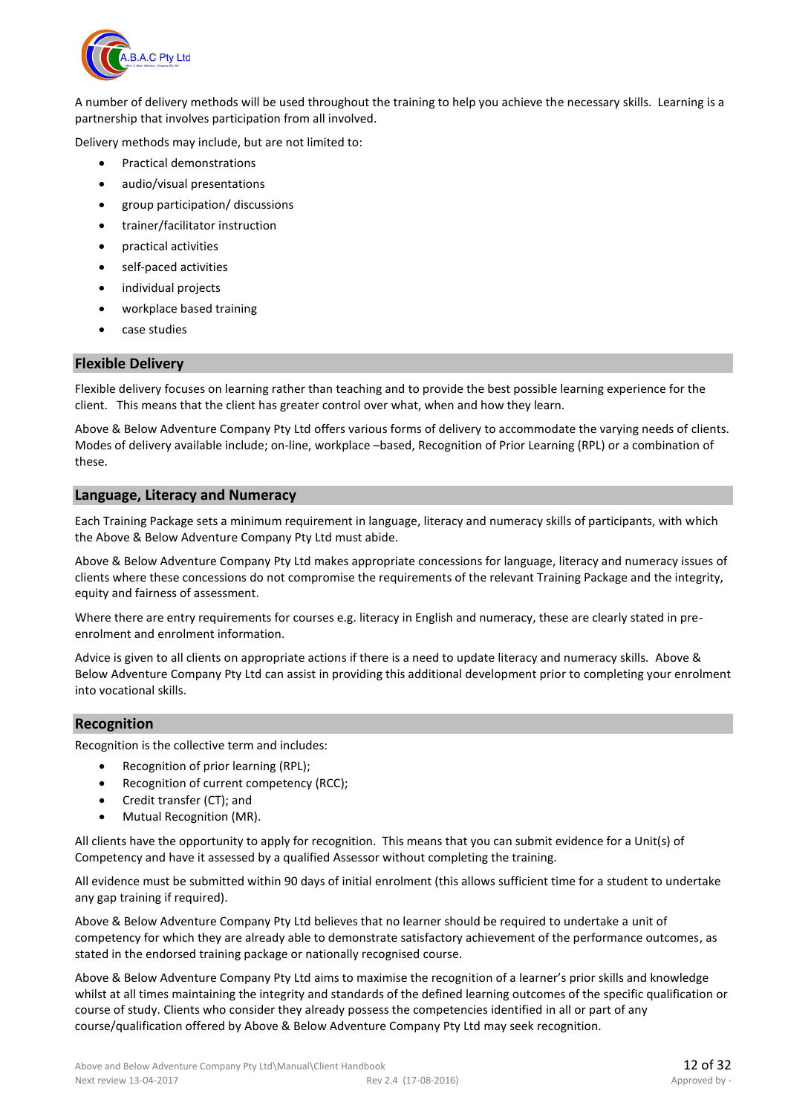

A number of delivery methods will be used throughout the training to help you achieve the necessary skills. Learning is a partnership that involves participation from all involved.

Delivery methods may include, but are not limited to:

- Practical demonstrations
- audio/visual presentations
- group participation/ discussions
- trainer/facilitator instruction
- practical activities
- self-paced activities
- individual projects
- workplace based training
- case studies

#### **Flexible Delivery**

Flexible delivery focuses on learning rather than teaching and to provide the best possible learning experience for the client. This means that the client has greater control over what, when and how they learn.

Above & Below Adventure Company Pty Ltd offers various forms of delivery to accommodate the varying needs of clients. Modes of delivery available include; on-line, workplace –based, Recognition of Prior Learning (RPL) or a combination of these.

#### **Language, Literacy and Numeracy**

Each Training Package sets a minimum requirement in language, literacy and numeracy skills of participants, with which the Above & Below Adventure Company Pty Ltd must abide.

Above & Below Adventure Company Pty Ltd makes appropriate concessions for language, literacy and numeracy issues of clients where these concessions do not compromise the requirements of the relevant Training Package and the integrity, equity and fairness of assessment.

Where there are entry requirements for courses e.g. literacy in English and numeracy, these are clearly stated in preenrolment and enrolment information.

Advice is given to all clients on appropriate actions if there is a need to update literacy and numeracy skills. Above & Below Adventure Company Pty Ltd can assist in providing this additional development prior to completing your enrolment into vocational skills.

#### **Recognition**

Recognition is the collective term and includes:

- Recognition of prior learning (RPL);
- Recognition of current competency (RCC);
- Credit transfer (CT); and
- Mutual Recognition (MR).

All clients have the opportunity to apply for recognition. This means that you can submit evidence for a Unit(s) of Competency and have it assessed by a qualified Assessor without completing the training.

All evidence must be submitted within 90 days of initial enrolment (this allows sufficient time for a student to undertake any gap training if required).

Above & Below Adventure Company Pty Ltd believes that no learner should be required to undertake a unit of competency for which they are already able to demonstrate satisfactory achievement of the performance outcomes, as stated in the endorsed training package or nationally recognised course.

Above & Below Adventure Company Pty Ltd aims to maximise the recognition of a learner's prior skills and knowledge whilst at all times maintaining the integrity and standards of the defined learning outcomes of the specific qualification or course of study. Clients who consider they already possess the competencies identified in all or part of any course/qualification offered by Above & Below Adventure Company Pty Ltd may seek recognition.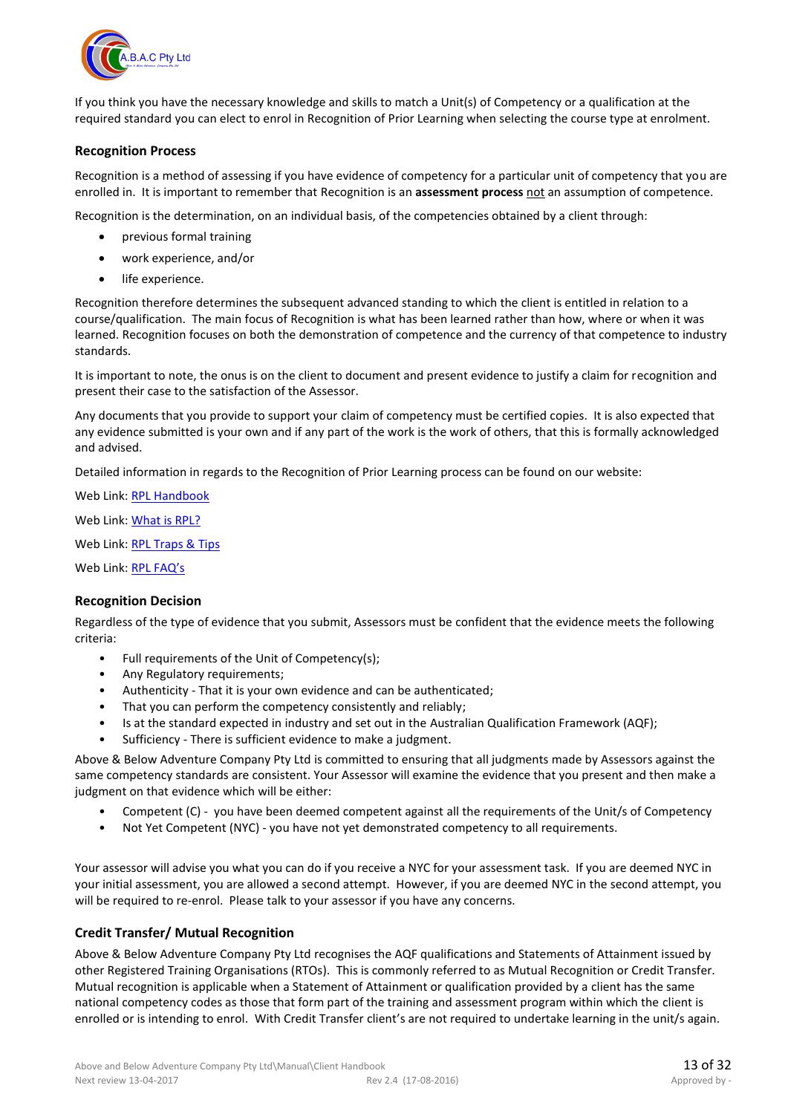

If you think you have the necessary knowledge and skills to match a Unit(s) of Competency or a qualification at the required standard you can elect to enrol in Recognition of Prior Learning when selecting the course type at enrolment.

#### **Recognition Process**

Recognition is a method of assessing if you have evidence of competency for a particular unit of competency that you are enrolled in. It is important to remember that Recognition is an **assessment process** not an assumption of competence.

Recognition is the determination, on an individual basis, of the competencies obtained by a client through:

- previous formal training
- work experience, and/or
- life experience.

Recognition therefore determines the subsequent advanced standing to which the client is entitled in relation to a course/qualification. The main focus of Recognition is what has been learned rather than how, where or when it was learned. Recognition focuses on both the demonstration of competence and the currency of that competence to industry standards.

It is important to note, the onus is on the client to document and present evidence to justify a claim for recognition and present their case to the satisfaction of the Assessor.

Any documents that you provide to support your claim of competency must be certified copies. It is also expected that any evidence submitted is your own and if any part of the work is the work of others, that this is formally acknowledged and advised.

Detailed information in regards to the Recognition of Prior Learning process can be found on our website:

Web Link: [RPL Handbook](http://www.outdoortrainingcollege.com.au/Site/documents/What%20is%20Recognition%20of%20RPL.pdf)

Web Link: [What is RPL?](http://www.outdoortrainingcollege.com.au/RPL_what_is_RPL.htm)

Web Link: [RPL Traps & Tips](http://www.outdoortrainingcollege.com.au/RPL_traps_and_tips.htm)

Web Link: [RPL FAQ's](http://www.outdoortrainingcollege.com.au/RPL_faqs.htm)

#### **Recognition Decision**

Regardless of the type of evidence that you submit, Assessors must be confident that the evidence meets the following criteria:

- Full requirements of the Unit of Competency(s);
- Any Regulatory requirements;
- Authenticity That it is your own evidence and can be authenticated;
- That you can perform the competency consistently and reliably;
- Is at the standard expected in industry and set out in the Australian Qualification Framework (AQF);
- Sufficiency There is sufficient evidence to make a judgment.

Above & Below Adventure Company Pty Ltd is committed to ensuring that all judgments made by Assessors against the same competency standards are consistent. Your Assessor will examine the evidence that you present and then make a judgment on that evidence which will be either:

- Competent (C) you have been deemed competent against all the requirements of the Unit/s of Competency
- Not Yet Competent (NYC) you have not yet demonstrated competency to all requirements.

Your assessor will advise you what you can do if you receive a NYC for your assessment task. If you are deemed NYC in your initial assessment, you are allowed a second attempt. However, if you are deemed NYC in the second attempt, you will be required to re-enrol. Please talk to your assessor if you have any concerns.

#### **Credit Transfer/ Mutual Recognition**

Above & Below Adventure Company Pty Ltd recognises the AQF qualifications and Statements of Attainment issued by other Registered Training Organisations (RTOs). This is commonly referred to as Mutual Recognition or Credit Transfer. Mutual recognition is applicable when a Statement of Attainment or qualification provided by a client has the same national competency codes as those that form part of the training and assessment program within which the client is enrolled or is intending to enrol. With Credit Transfer client's are not required to undertake learning in the unit/s again.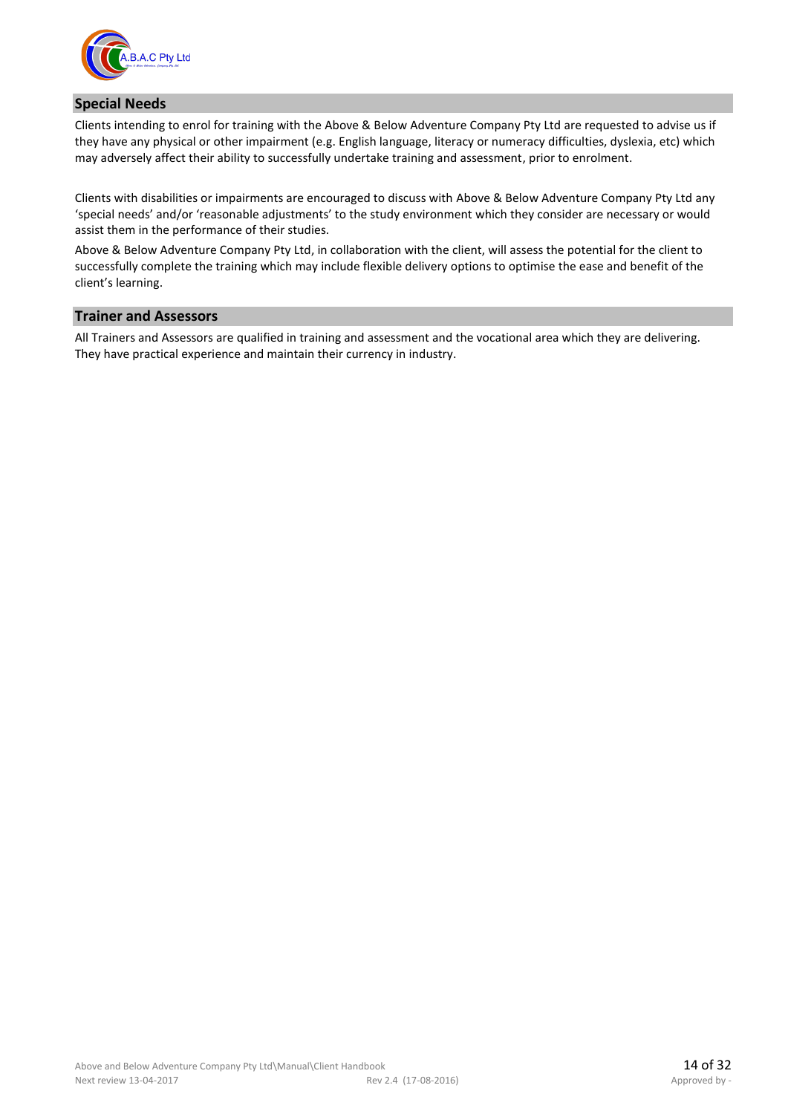

#### **Special Needs**

Clients intending to enrol for training with the Above & Below Adventure Company Pty Ltd are requested to advise us if they have any physical or other impairment (e.g. English language, literacy or numeracy difficulties, dyslexia, etc) which may adversely affect their ability to successfully undertake training and assessment, prior to enrolment.

Clients with disabilities or impairments are encouraged to discuss with Above & Below Adventure Company Pty Ltd any 'special needs' and/or 'reasonable adjustments' to the study environment which they consider are necessary or would assist them in the performance of their studies.

Above & Below Adventure Company Pty Ltd, in collaboration with the client, will assess the potential for the client to successfully complete the training which may include flexible delivery options to optimise the ease and benefit of the client's learning.

#### **Trainer and Assessors**

All Trainers and Assessors are qualified in training and assessment and the vocational area which they are delivering. They have practical experience and maintain their currency in industry.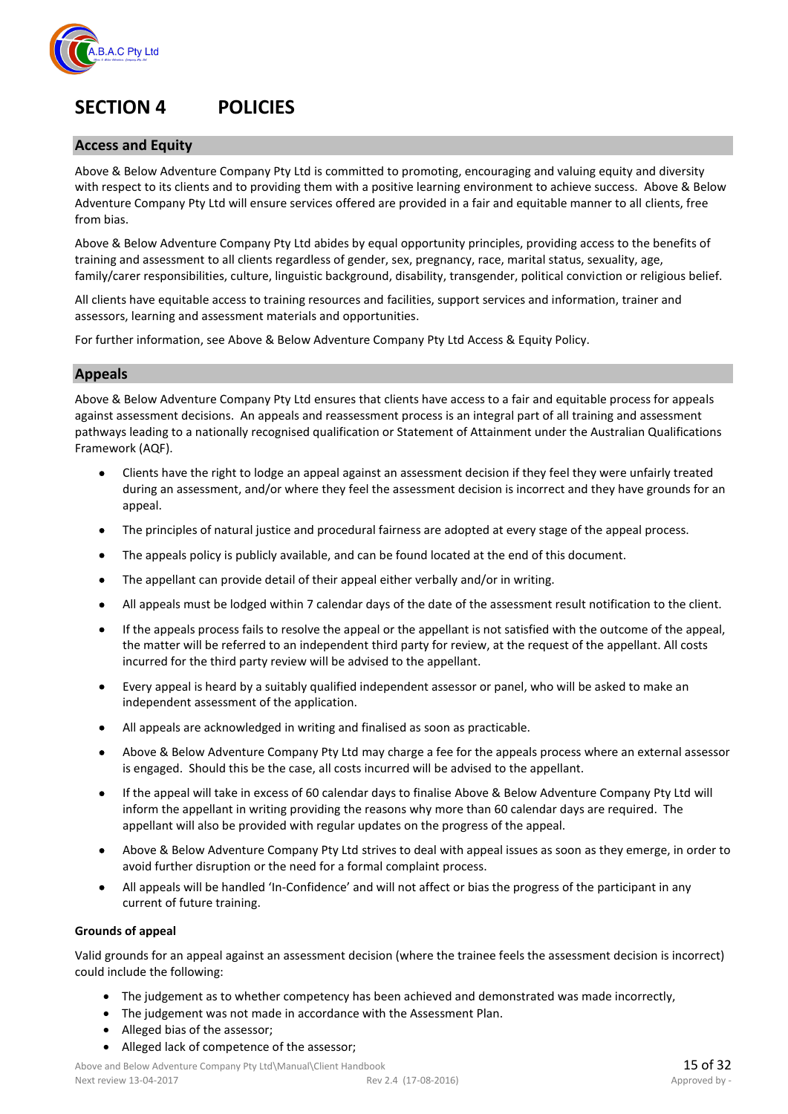

## **SECTION 4 POLICIES**

#### **Access and Equity**

Above & Below Adventure Company Pty Ltd is committed to promoting, encouraging and valuing equity and diversity with respect to its clients and to providing them with a positive learning environment to achieve success. Above & Below Adventure Company Pty Ltd will ensure services offered are provided in a fair and equitable manner to all clients, free from bias.

Above & Below Adventure Company Pty Ltd abides by equal opportunity principles, providing access to the benefits of training and assessment to all clients regardless of gender, sex, pregnancy, race, marital status, sexuality, age, family/carer responsibilities, culture, linguistic background, disability, transgender, political conviction or religious belief.

All clients have equitable access to training resources and facilities, support services and information, trainer and assessors, learning and assessment materials and opportunities.

For further information, see Above & Below Adventure Company Pty Ltd Access & Equity Policy.

#### **Appeals**

Above & Below Adventure Company Pty Ltd ensures that clients have access to a fair and equitable process for appeals against assessment decisions. An appeals and reassessment process is an integral part of all training and assessment pathways leading to a nationally recognised qualification or Statement of Attainment under the Australian Qualifications Framework (AQF).

- Clients have the right to lodge an appeal against an assessment decision if they feel they were unfairly treated during an assessment, and/or where they feel the assessment decision is incorrect and they have grounds for an appeal.
- The principles of natural justice and procedural fairness are adopted at every stage of the appeal process.
- The appeals policy is publicly available, and can be found located at the end of this document.
- The appellant can provide detail of their appeal either verbally and/or in writing.
- All appeals must be lodged within 7 calendar days of the date of the assessment result notification to the client.
- If the appeals process fails to resolve the appeal or the appellant is not satisfied with the outcome of the appeal, the matter will be referred to an independent third party for review, at the request of the appellant. All costs incurred for the third party review will be advised to the appellant.
- Every appeal is heard by a suitably qualified independent assessor or panel, who will be asked to make an independent assessment of the application.
- All appeals are acknowledged in writing and finalised as soon as practicable.
- Above & Below Adventure Company Pty Ltd may charge a fee for the appeals process where an external assessor is engaged. Should this be the case, all costs incurred will be advised to the appellant.
- If the appeal will take in excess of 60 calendar days to finalise Above & Below Adventure Company Pty Ltd will inform the appellant in writing providing the reasons why more than 60 calendar days are required. The appellant will also be provided with regular updates on the progress of the appeal.
- Above & Below Adventure Company Pty Ltd strives to deal with appeal issues as soon as they emerge, in order to avoid further disruption or the need for a formal complaint process.
- All appeals will be handled 'In-Confidence' and will not affect or bias the progress of the participant in any current of future training.

#### **Grounds of appeal**

Valid grounds for an appeal against an assessment decision (where the trainee feels the assessment decision is incorrect) could include the following:

- The judgement as to whether competency has been achieved and demonstrated was made incorrectly,
- The judgement was not made in accordance with the Assessment Plan.
- Alleged bias of the assessor;
- Alleged lack of competence of the assessor;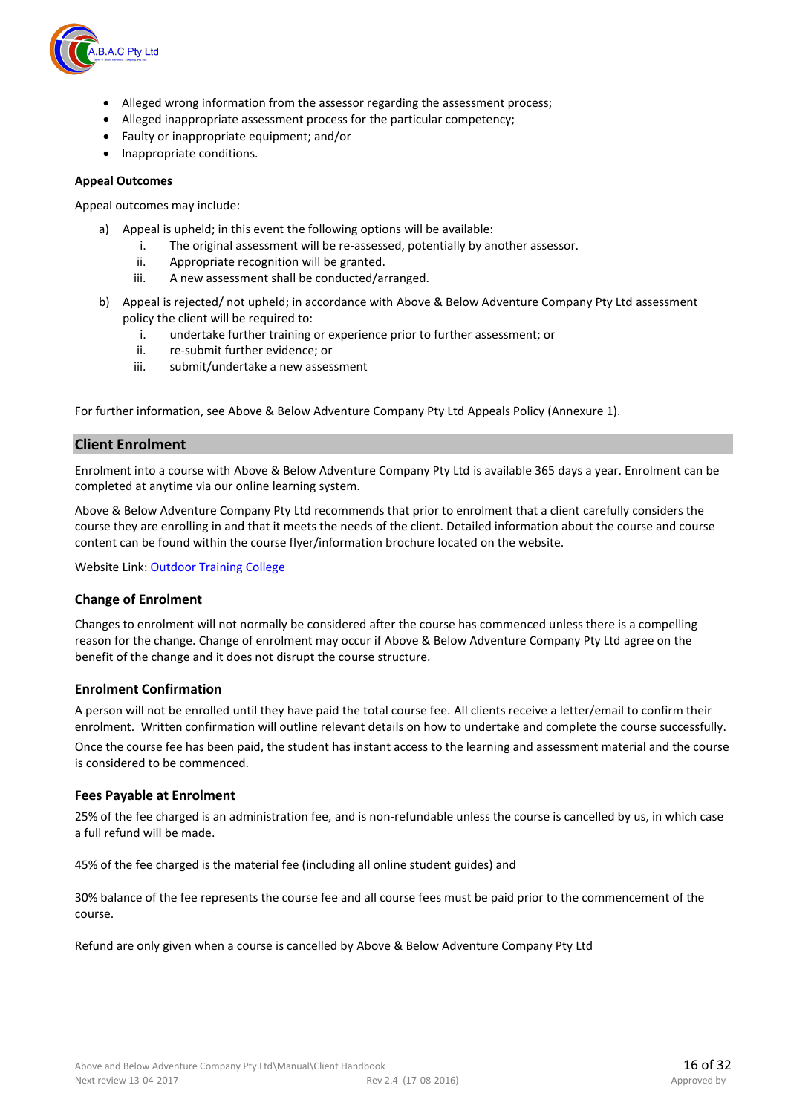

- Alleged wrong information from the assessor regarding the assessment process;
- Alleged inappropriate assessment process for the particular competency;
- Faulty or inappropriate equipment; and/or
- Inappropriate conditions.

#### **Appeal Outcomes**

Appeal outcomes may include:

- a) Appeal is upheld; in this event the following options will be available:
	- i. The original assessment will be re-assessed, potentially by another assessor.
	- ii. Appropriate recognition will be granted.
	- iii. A new assessment shall be conducted/arranged.
- b) Appeal is rejected/ not upheld; in accordance with Above & Below Adventure Company Pty Ltd assessment policy the client will be required to:
	- i. undertake further training or experience prior to further assessment; or
	- ii. re-submit further evidence; or
	- iii. submit/undertake a new assessment

For further information, see Above & Below Adventure Company Pty Ltd Appeals Policy (Annexure 1).

#### **Client Enrolment**

Enrolment into a course with Above & Below Adventure Company Pty Ltd is available 365 days a year. Enrolment can be completed at anytime via our online learning system.

Above & Below Adventure Company Pty Ltd recommends that prior to enrolment that a client carefully considers the course they are enrolling in and that it meets the needs of the client. Detailed information about the course and course content can be found within the course flyer/information brochure located on the website.

Website Link: [Outdoor Training College](http://www.outdoortrainingcollege.com.au/index.htm)

#### **Change of Enrolment**

Changes to enrolment will not normally be considered after the course has commenced unless there is a compelling reason for the change. Change of enrolment may occur if Above & Below Adventure Company Pty Ltd agree on the benefit of the change and it does not disrupt the course structure.

#### **Enrolment Confirmation**

A person will not be enrolled until they have paid the total course fee. All clients receive a letter/email to confirm their enrolment. Written confirmation will outline relevant details on how to undertake and complete the course successfully. Once the course fee has been paid, the student has instant access to the learning and assessment material and the course is considered to be commenced.

#### **Fees Payable at Enrolment**

25% of the fee charged is an administration fee, and is non-refundable unless the course is cancelled by us, in which case a full refund will be made.

45% of the fee charged is the material fee (including all online student guides) and

30% balance of the fee represents the course fee and all course fees must be paid prior to the commencement of the course.

Refund are only given when a course is cancelled by Above & Below Adventure Company Pty Ltd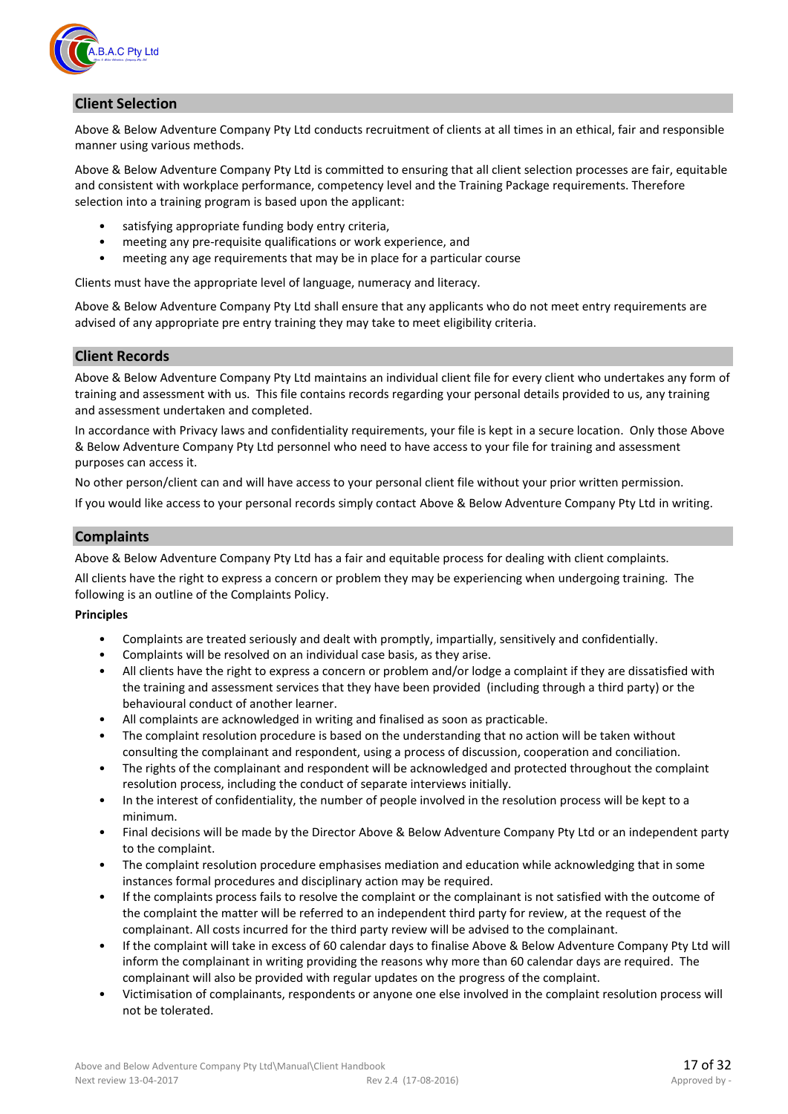

#### **Client Selection**

Above & Below Adventure Company Pty Ltd conducts recruitment of clients at all times in an ethical, fair and responsible manner using various methods.

Above & Below Adventure Company Pty Ltd is committed to ensuring that all client selection processes are fair, equitable and consistent with workplace performance, competency level and the Training Package requirements. Therefore selection into a training program is based upon the applicant:

- satisfying appropriate funding body entry criteria,
- meeting any pre-requisite qualifications or work experience, and
- meeting any age requirements that may be in place for a particular course

Clients must have the appropriate level of language, numeracy and literacy.

Above & Below Adventure Company Pty Ltd shall ensure that any applicants who do not meet entry requirements are advised of any appropriate pre entry training they may take to meet eligibility criteria.

#### **Client Records**

Above & Below Adventure Company Pty Ltd maintains an individual client file for every client who undertakes any form of training and assessment with us. This file contains records regarding your personal details provided to us, any training and assessment undertaken and completed.

In accordance with Privacy laws and confidentiality requirements, your file is kept in a secure location. Only those Above & Below Adventure Company Pty Ltd personnel who need to have access to your file for training and assessment purposes can access it.

No other person/client can and will have access to your personal client file without your prior written permission. If you would like access to your personal records simply contact Above & Below Adventure Company Pty Ltd in writing.

#### **Complaints**

Above & Below Adventure Company Pty Ltd has a fair and equitable process for dealing with client complaints.

All clients have the right to express a concern or problem they may be experiencing when undergoing training. The following is an outline of the Complaints Policy.

#### **Principles**

- Complaints are treated seriously and dealt with promptly, impartially, sensitively and confidentially.
- Complaints will be resolved on an individual case basis, as they arise.
- All clients have the right to express a concern or problem and/or lodge a complaint if they are dissatisfied with the training and assessment services that they have been provided (including through a third party) or the behavioural conduct of another learner.
- All complaints are acknowledged in writing and finalised as soon as practicable.
- The complaint resolution procedure is based on the understanding that no action will be taken without consulting the complainant and respondent, using a process of discussion, cooperation and conciliation.
- The rights of the complainant and respondent will be acknowledged and protected throughout the complaint resolution process, including the conduct of separate interviews initially.
- In the interest of confidentiality, the number of people involved in the resolution process will be kept to a minimum.
- Final decisions will be made by the Director Above & Below Adventure Company Pty Ltd or an independent party to the complaint.
- The complaint resolution procedure emphasises mediation and education while acknowledging that in some instances formal procedures and disciplinary action may be required.
- If the complaints process fails to resolve the complaint or the complainant is not satisfied with the outcome of the complaint the matter will be referred to an independent third party for review, at the request of the complainant. All costs incurred for the third party review will be advised to the complainant.
- If the complaint will take in excess of 60 calendar days to finalise Above & Below Adventure Company Pty Ltd will inform the complainant in writing providing the reasons why more than 60 calendar days are required. The complainant will also be provided with regular updates on the progress of the complaint.
- Victimisation of complainants, respondents or anyone one else involved in the complaint resolution process will not be tolerated.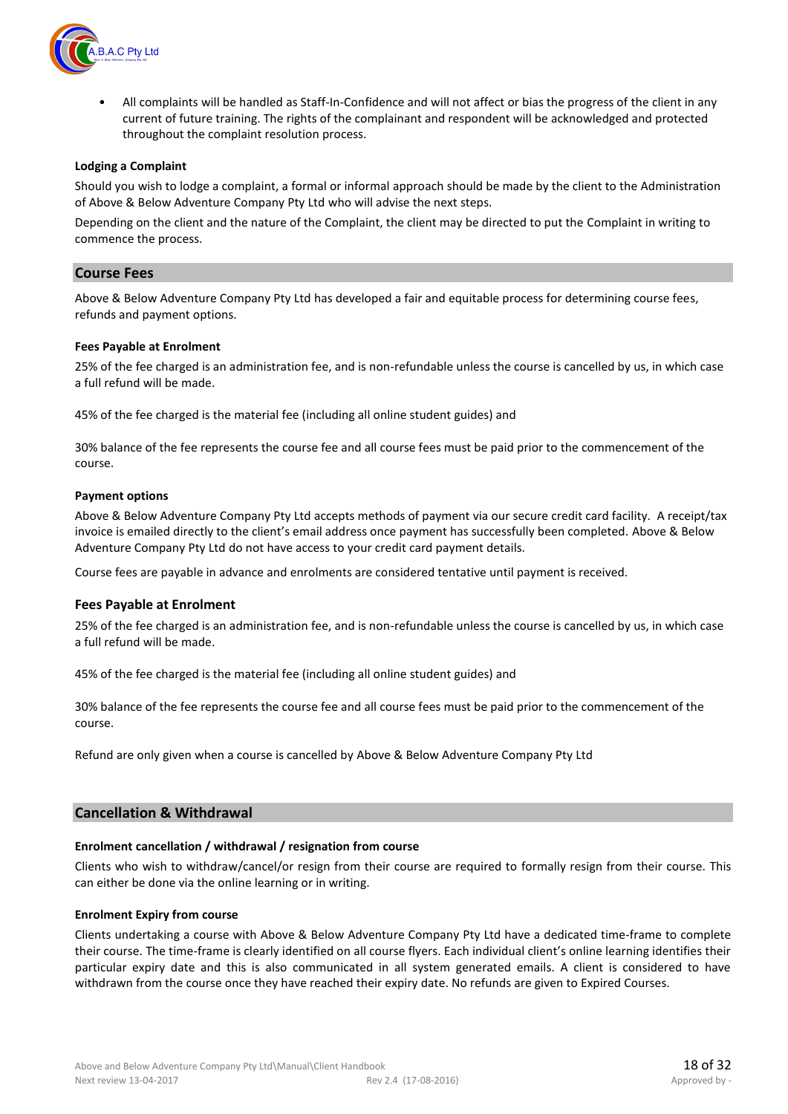

All complaints will be handled as Staff-In-Confidence and will not affect or bias the progress of the client in any current of future training. The rights of the complainant and respondent will be acknowledged and protected throughout the complaint resolution process.

#### **Lodging a Complaint**

Should you wish to lodge a complaint, a formal or informal approach should be made by the client to the Administration of Above & Below Adventure Company Pty Ltd who will advise the next steps.

Depending on the client and the nature of the Complaint, the client may be directed to put the Complaint in writing to commence the process.

#### **Course Fees**

Above & Below Adventure Company Pty Ltd has developed a fair and equitable process for determining course fees, refunds and payment options.

#### **Fees Payable at Enrolment**

25% of the fee charged is an administration fee, and is non-refundable unless the course is cancelled by us, in which case a full refund will be made.

45% of the fee charged is the material fee (including all online student guides) and

30% balance of the fee represents the course fee and all course fees must be paid prior to the commencement of the course.

#### **Payment options**

Above & Below Adventure Company Pty Ltd accepts methods of payment via our secure credit card facility. A receipt/tax invoice is emailed directly to the client's email address once payment has successfully been completed. Above & Below Adventure Company Pty Ltd do not have access to your credit card payment details.

Course fees are payable in advance and enrolments are considered tentative until payment is received.

#### **Fees Payable at Enrolment**

25% of the fee charged is an administration fee, and is non-refundable unless the course is cancelled by us, in which case a full refund will be made.

45% of the fee charged is the material fee (including all online student guides) and

30% balance of the fee represents the course fee and all course fees must be paid prior to the commencement of the course.

Refund are only given when a course is cancelled by Above & Below Adventure Company Pty Ltd

#### **Cancellation & Withdrawal**

#### **Enrolment cancellation / withdrawal / resignation from course**

Clients who wish to withdraw/cancel/or resign from their course are required to formally resign from their course. This can either be done via the online learning or in writing.

#### **Enrolment Expiry from course**

Clients undertaking a course with Above & Below Adventure Company Pty Ltd have a dedicated time-frame to complete their course. The time-frame is clearly identified on all course flyers. Each individual client's online learning identifies their particular expiry date and this is also communicated in all system generated emails. A client is considered to have withdrawn from the course once they have reached their expiry date. No refunds are given to Expired Courses.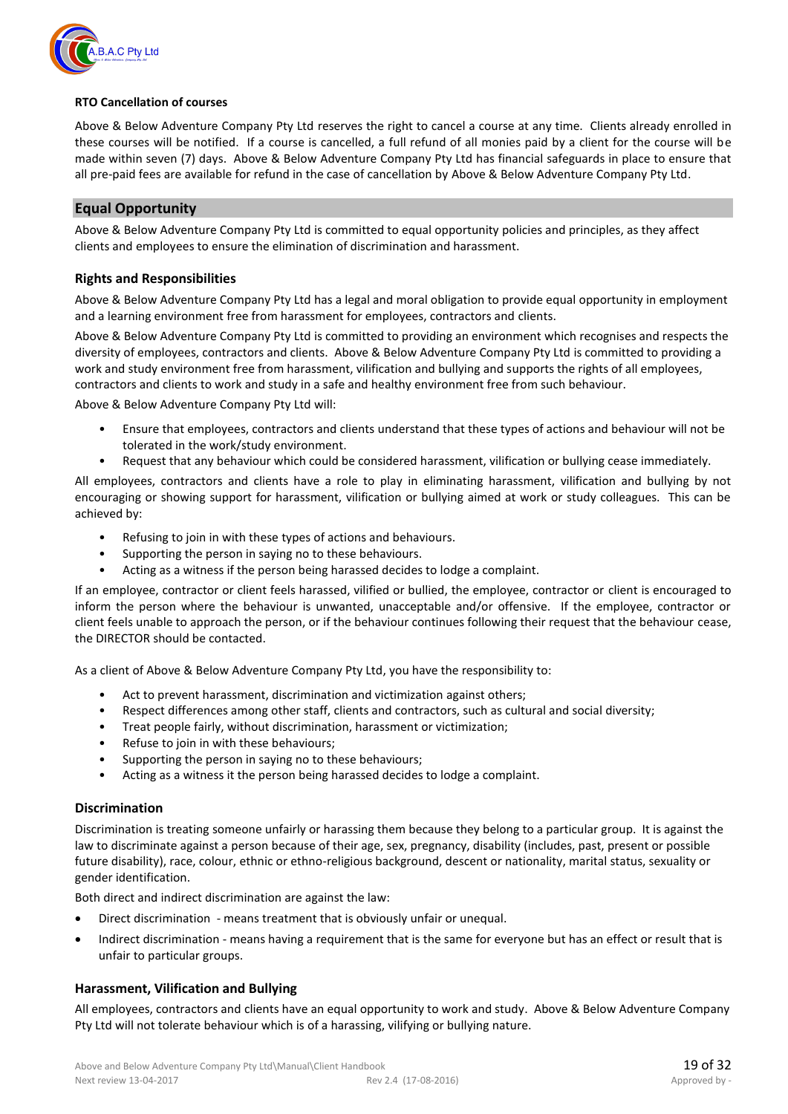

#### **RTO Cancellation of courses**

Above & Below Adventure Company Pty Ltd reserves the right to cancel a course at any time. Clients already enrolled in these courses will be notified. If a course is cancelled, a full refund of all monies paid by a client for the course will be made within seven (7) days. Above & Below Adventure Company Pty Ltd has financial safeguards in place to ensure that all pre-paid fees are available for refund in the case of cancellation by Above & Below Adventure Company Pty Ltd.

#### **Equal Opportunity**

Above & Below Adventure Company Pty Ltd is committed to equal opportunity policies and principles, as they affect clients and employees to ensure the elimination of discrimination and harassment.

#### **Rights and Responsibilities**

Above & Below Adventure Company Pty Ltd has a legal and moral obligation to provide equal opportunity in employment and a learning environment free from harassment for employees, contractors and clients.

Above & Below Adventure Company Pty Ltd is committed to providing an environment which recognises and respects the diversity of employees, contractors and clients. Above & Below Adventure Company Pty Ltd is committed to providing a work and study environment free from harassment, vilification and bullying and supports the rights of all employees, contractors and clients to work and study in a safe and healthy environment free from such behaviour.

Above & Below Adventure Company Pty Ltd will:

- Ensure that employees, contractors and clients understand that these types of actions and behaviour will not be tolerated in the work/study environment.
- Request that any behaviour which could be considered harassment, vilification or bullying cease immediately.

All employees, contractors and clients have a role to play in eliminating harassment, vilification and bullying by not encouraging or showing support for harassment, vilification or bullying aimed at work or study colleagues. This can be achieved by:

- Refusing to join in with these types of actions and behaviours.
- Supporting the person in saying no to these behaviours.
- Acting as a witness if the person being harassed decides to lodge a complaint.

If an employee, contractor or client feels harassed, vilified or bullied, the employee, contractor or client is encouraged to inform the person where the behaviour is unwanted, unacceptable and/or offensive. If the employee, contractor or client feels unable to approach the person, or if the behaviour continues following their request that the behaviour cease, the DIRECTOR should be contacted.

As a client of Above & Below Adventure Company Pty Ltd, you have the responsibility to:

- Act to prevent harassment, discrimination and victimization against others;
- Respect differences among other staff, clients and contractors, such as cultural and social diversity;
- Treat people fairly, without discrimination, harassment or victimization;
- Refuse to join in with these behaviours;
- Supporting the person in saying no to these behaviours;
- Acting as a witness it the person being harassed decides to lodge a complaint.

#### **Discrimination**

Discrimination is treating someone unfairly or harassing them because they belong to a particular group. It is against the law to discriminate against a person because of their age, sex, pregnancy, disability (includes, past, present or possible future disability), race, colour, ethnic or ethno-religious background, descent or nationality, marital status, sexuality or gender identification.

Both direct and indirect discrimination are against the law:

- Direct discrimination means treatment that is obviously unfair or unequal.
- Indirect discrimination means having a requirement that is the same for everyone but has an effect or result that is unfair to particular groups.

#### **Harassment, Vilification and Bullying**

All employees, contractors and clients have an equal opportunity to work and study. Above & Below Adventure Company Pty Ltd will not tolerate behaviour which is of a harassing, vilifying or bullying nature.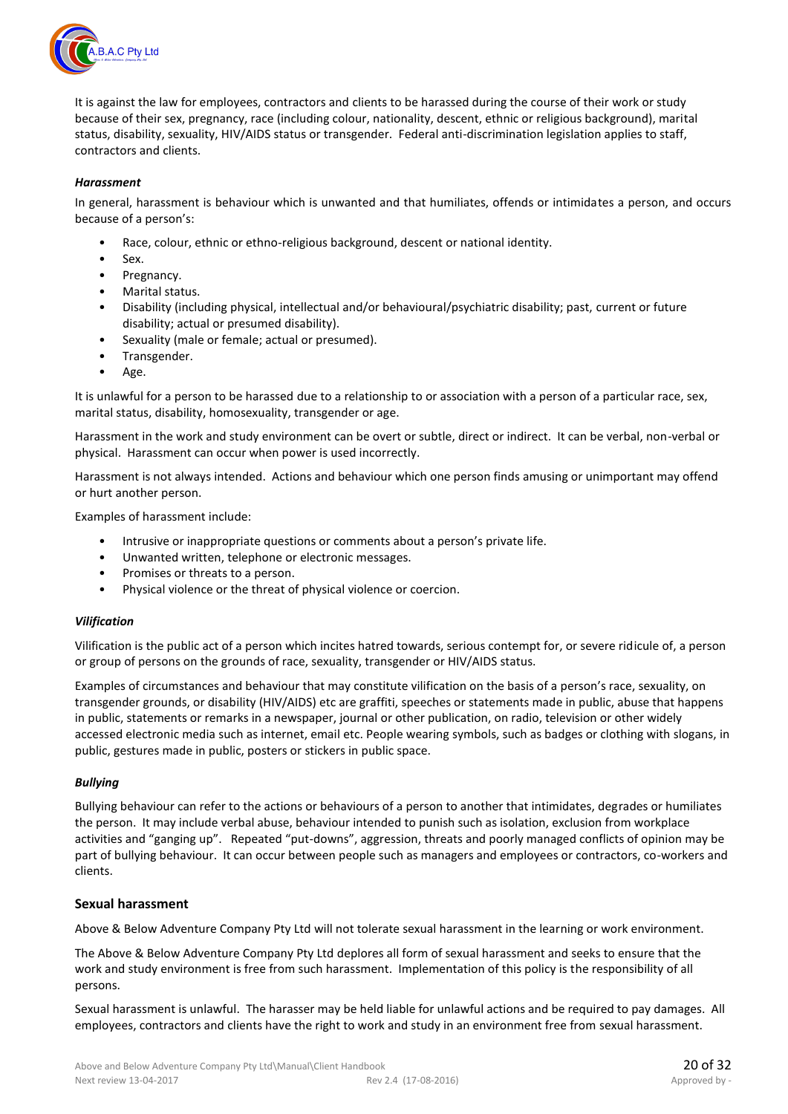

It is against the law for employees, contractors and clients to be harassed during the course of their work or study because of their sex, pregnancy, race (including colour, nationality, descent, ethnic or religious background), marital status, disability, sexuality, HIV/AIDS status or transgender. Federal anti-discrimination legislation applies to staff, contractors and clients.

#### *Harassment*

In general, harassment is behaviour which is unwanted and that humiliates, offends or intimidates a person, and occurs because of a person's:

- Race, colour, ethnic or ethno-religious background, descent or national identity.
- Sex.
- Pregnancy.
- Marital status.
- Disability (including physical, intellectual and/or behavioural/psychiatric disability; past, current or future disability; actual or presumed disability).
- Sexuality (male or female; actual or presumed).
- Transgender.
- Age.

It is unlawful for a person to be harassed due to a relationship to or association with a person of a particular race, sex, marital status, disability, homosexuality, transgender or age.

Harassment in the work and study environment can be overt or subtle, direct or indirect. It can be verbal, non-verbal or physical. Harassment can occur when power is used incorrectly.

Harassment is not always intended. Actions and behaviour which one person finds amusing or unimportant may offend or hurt another person.

Examples of harassment include:

- Intrusive or inappropriate questions or comments about a person's private life.
- Unwanted written, telephone or electronic messages.
- Promises or threats to a person.
- Physical violence or the threat of physical violence or coercion.

#### *Vilification*

Vilification is the public act of a person which incites hatred towards, serious contempt for, or severe ridicule of, a person or group of persons on the grounds of race, sexuality, transgender or HIV/AIDS status.

Examples of circumstances and behaviour that may constitute vilification on the basis of a person's race, sexuality, on transgender grounds, or disability (HIV/AIDS) etc are graffiti, speeches or statements made in public, abuse that happens in public, statements or remarks in a newspaper, journal or other publication, on radio, television or other widely accessed electronic media such as internet, email etc. People wearing symbols, such as badges or clothing with slogans, in public, gestures made in public, posters or stickers in public space.

#### *Bullying*

Bullying behaviour can refer to the actions or behaviours of a person to another that intimidates, degrades or humiliates the person. It may include verbal abuse, behaviour intended to punish such as isolation, exclusion from workplace activities and "ganging up". Repeated "put-downs", aggression, threats and poorly managed conflicts of opinion may be part of bullying behaviour. It can occur between people such as managers and employees or contractors, co-workers and clients.

#### **Sexual harassment**

Above & Below Adventure Company Pty Ltd will not tolerate sexual harassment in the learning or work environment.

The Above & Below Adventure Company Pty Ltd deplores all form of sexual harassment and seeks to ensure that the work and study environment is free from such harassment. Implementation of this policy is the responsibility of all persons.

Sexual harassment is unlawful. The harasser may be held liable for unlawful actions and be required to pay damages. All employees, contractors and clients have the right to work and study in an environment free from sexual harassment.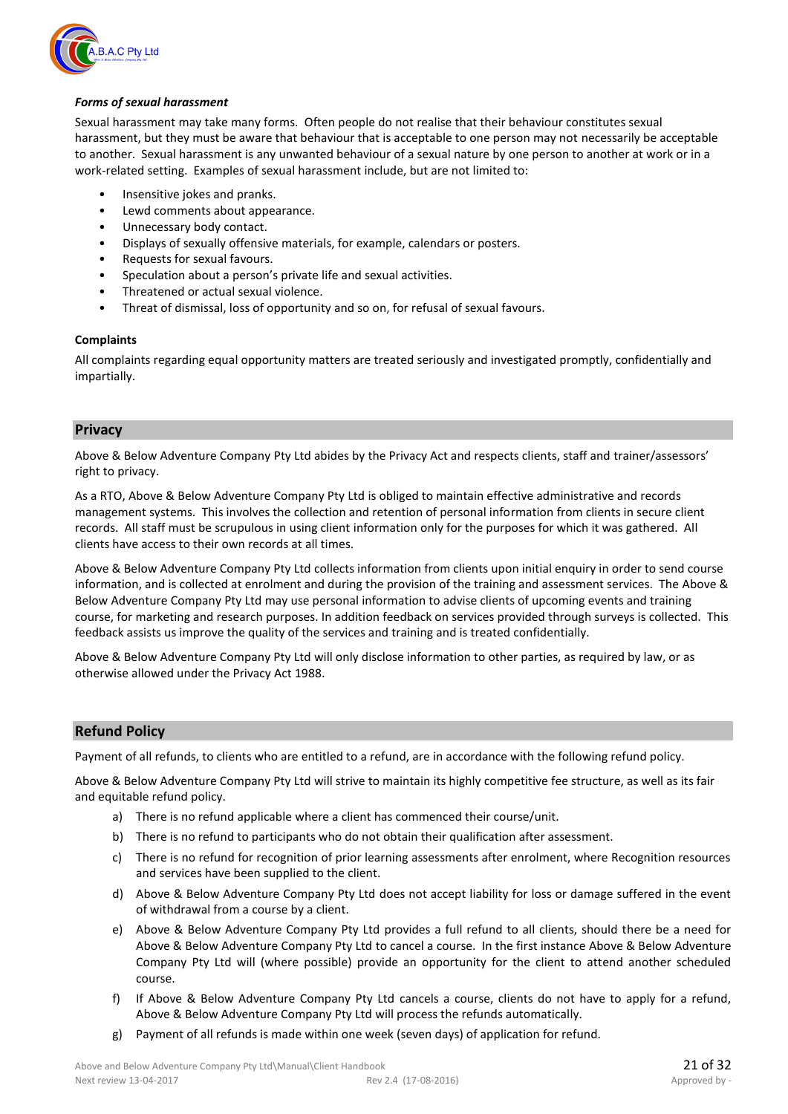

#### *Forms of sexual harassment*

Sexual harassment may take many forms. Often people do not realise that their behaviour constitutes sexual harassment, but they must be aware that behaviour that is acceptable to one person may not necessarily be acceptable to another. Sexual harassment is any unwanted behaviour of a sexual nature by one person to another at work or in a work-related setting. Examples of sexual harassment include, but are not limited to:

- Insensitive jokes and pranks.
- Lewd comments about appearance.
- Unnecessary body contact.
- Displays of sexually offensive materials, for example, calendars or posters.
- Requests for sexual favours.
- Speculation about a person's private life and sexual activities.
- Threatened or actual sexual violence.
- Threat of dismissal, loss of opportunity and so on, for refusal of sexual favours.

#### **Complaints**

All complaints regarding equal opportunity matters are treated seriously and investigated promptly, confidentially and impartially.

#### **Privacy**

Above & Below Adventure Company Pty Ltd abides by the Privacy Act and respects clients, staff and trainer/assessors' right to privacy.

As a RTO, Above & Below Adventure Company Pty Ltd is obliged to maintain effective administrative and records management systems. This involves the collection and retention of personal information from clients in secure client records. All staff must be scrupulous in using client information only for the purposes for which it was gathered. All clients have access to their own records at all times.

Above & Below Adventure Company Pty Ltd collects information from clients upon initial enquiry in order to send course information, and is collected at enrolment and during the provision of the training and assessment services. The Above & Below Adventure Company Pty Ltd may use personal information to advise clients of upcoming events and training course, for marketing and research purposes. In addition feedback on services provided through surveys is collected. This feedback assists us improve the quality of the services and training and is treated confidentially.

Above & Below Adventure Company Pty Ltd will only disclose information to other parties, as required by law, or as otherwise allowed under the Privacy Act 1988.

#### **Refund Policy**

Payment of all refunds, to clients who are entitled to a refund, are in accordance with the following refund policy.

Above & Below Adventure Company Pty Ltd will strive to maintain its highly competitive fee structure, as well as its fair and equitable refund policy.

- a) There is no refund applicable where a client has commenced their course/unit.
- b) There is no refund to participants who do not obtain their qualification after assessment.
- c) There is no refund for recognition of prior learning assessments after enrolment, where Recognition resources and services have been supplied to the client.
- d) Above & Below Adventure Company Pty Ltd does not accept liability for loss or damage suffered in the event of withdrawal from a course by a client.
- e) Above & Below Adventure Company Pty Ltd provides a full refund to all clients, should there be a need for Above & Below Adventure Company Pty Ltd to cancel a course. In the first instance Above & Below Adventure Company Pty Ltd will (where possible) provide an opportunity for the client to attend another scheduled course.
- f) If Above & Below Adventure Company Pty Ltd cancels a course, clients do not have to apply for a refund, Above & Below Adventure Company Pty Ltd will process the refunds automatically.
- g) Payment of all refunds is made within one week (seven days) of application for refund.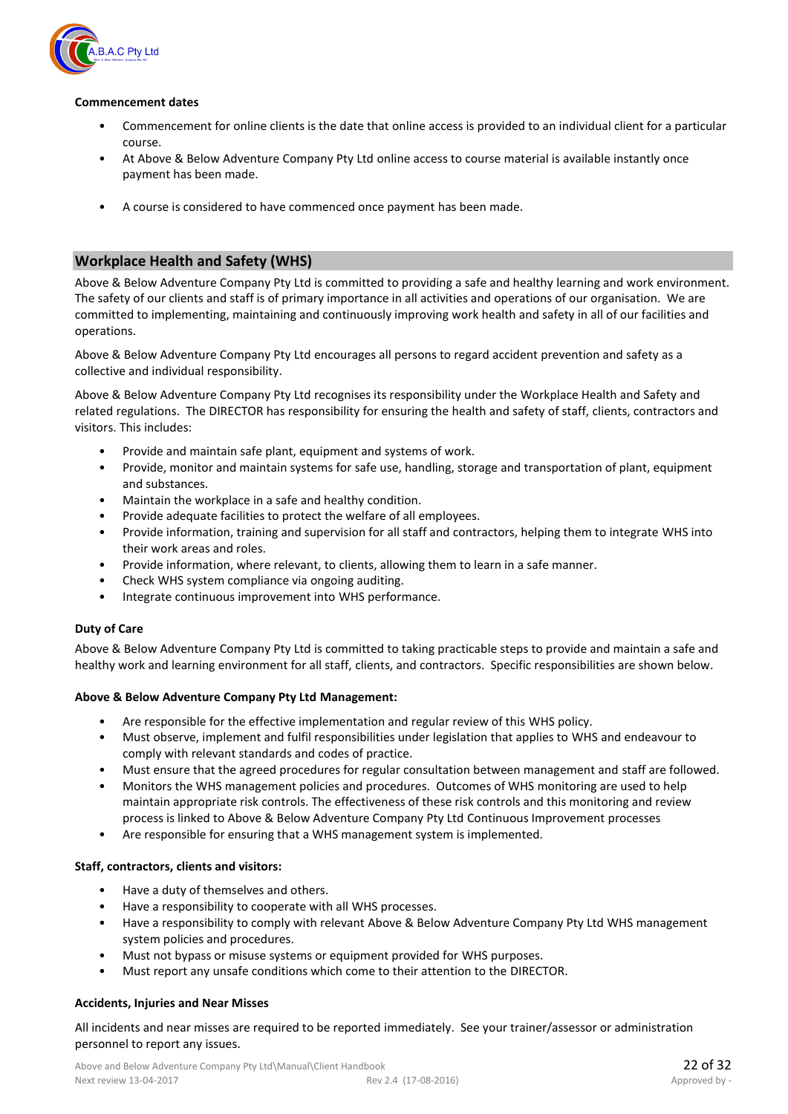

#### **Commencement dates**

- Commencement for online clients is the date that online access is provided to an individual client for a particular course.
- At Above & Below Adventure Company Pty Ltd online access to course material is available instantly once payment has been made.
- A course is considered to have commenced once payment has been made.

#### **Workplace Health and Safety (WHS)**

Above & Below Adventure Company Pty Ltd is committed to providing a safe and healthy learning and work environment. The safety of our clients and staff is of primary importance in all activities and operations of our organisation. We are committed to implementing, maintaining and continuously improving work health and safety in all of our facilities and operations.

Above & Below Adventure Company Pty Ltd encourages all persons to regard accident prevention and safety as a collective and individual responsibility.

Above & Below Adventure Company Pty Ltd recognises its responsibility under the Workplace Health and Safety and related regulations. The DIRECTOR has responsibility for ensuring the health and safety of staff, clients, contractors and visitors. This includes:

- Provide and maintain safe plant, equipment and systems of work.
- Provide, monitor and maintain systems for safe use, handling, storage and transportation of plant, equipment and substances.
- Maintain the workplace in a safe and healthy condition.
- Provide adequate facilities to protect the welfare of all employees.
- Provide information, training and supervision for all staff and contractors, helping them to integrate WHS into their work areas and roles.
- Provide information, where relevant, to clients, allowing them to learn in a safe manner.
- Check WHS system compliance via ongoing auditing.
- Integrate continuous improvement into WHS performance.

#### **Duty of Care**

Above & Below Adventure Company Pty Ltd is committed to taking practicable steps to provide and maintain a safe and healthy work and learning environment for all staff, clients, and contractors. Specific responsibilities are shown below.

#### **Above & Below Adventure Company Pty Ltd Management:**

- Are responsible for the effective implementation and regular review of this WHS policy.
- Must observe, implement and fulfil responsibilities under legislation that applies to WHS and endeavour to comply with relevant standards and codes of practice.
- Must ensure that the agreed procedures for regular consultation between management and staff are followed.
- Monitors the WHS management policies and procedures. Outcomes of WHS monitoring are used to help maintain appropriate risk controls. The effectiveness of these risk controls and this monitoring and review process is linked to Above & Below Adventure Company Pty Ltd Continuous Improvement processes
- Are responsible for ensuring that a WHS management system is implemented.

#### **Staff, contractors, clients and visitors:**

- Have a duty of themselves and others.
- Have a responsibility to cooperate with all WHS processes.
- Have a responsibility to comply with relevant Above & Below Adventure Company Pty Ltd WHS management system policies and procedures.
- Must not bypass or misuse systems or equipment provided for WHS purposes.
- Must report any unsafe conditions which come to their attention to the DIRECTOR.

#### **Accidents, Injuries and Near Misses**

All incidents and near misses are required to be reported immediately. See your trainer/assessor or administration personnel to report any issues.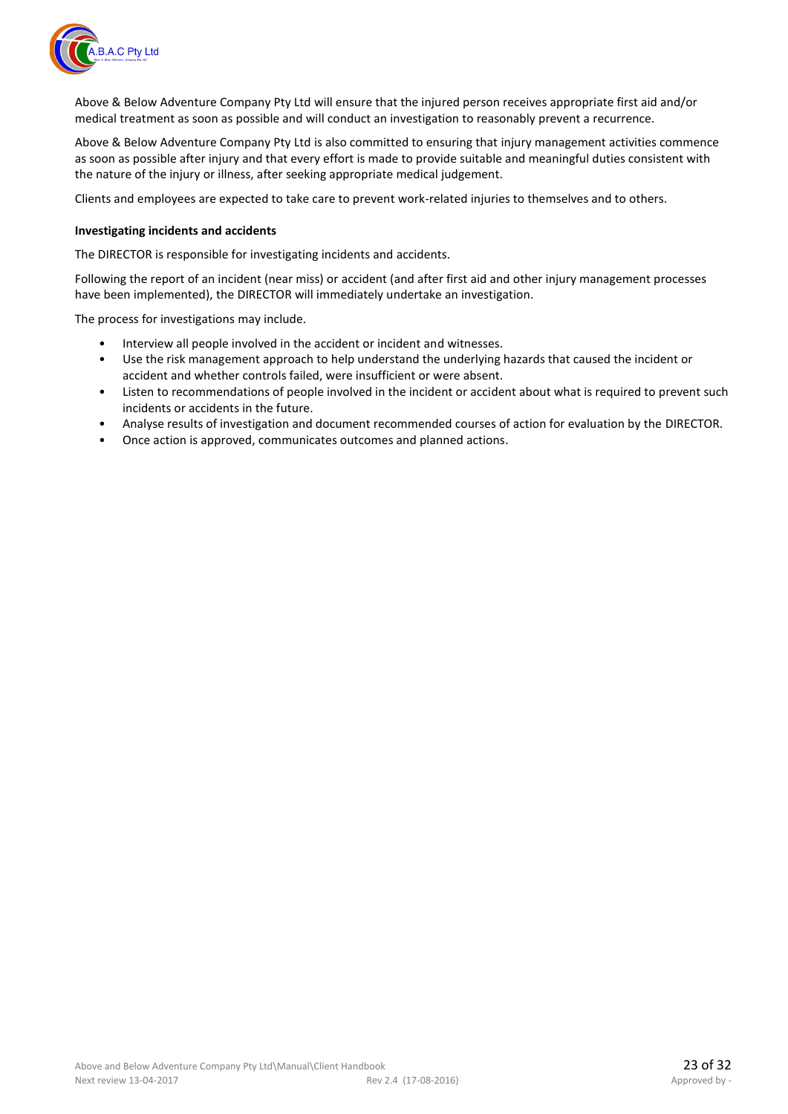

Above & Below Adventure Company Pty Ltd will ensure that the injured person receives appropriate first aid and/or medical treatment as soon as possible and will conduct an investigation to reasonably prevent a recurrence.

Above & Below Adventure Company Pty Ltd is also committed to ensuring that injury management activities commence as soon as possible after injury and that every effort is made to provide suitable and meaningful duties consistent with the nature of the injury or illness, after seeking appropriate medical judgement.

Clients and employees are expected to take care to prevent work-related injuries to themselves and to others.

#### **Investigating incidents and accidents**

The DIRECTOR is responsible for investigating incidents and accidents.

Following the report of an incident (near miss) or accident (and after first aid and other injury management processes have been implemented), the DIRECTOR will immediately undertake an investigation.

The process for investigations may include.

- Interview all people involved in the accident or incident and witnesses.
- Use the risk management approach to help understand the underlying hazards that caused the incident or accident and whether controls failed, were insufficient or were absent.
- Listen to recommendations of people involved in the incident or accident about what is required to prevent such incidents or accidents in the future.
- Analyse results of investigation and document recommended courses of action for evaluation by the DIRECTOR.
- Once action is approved, communicates outcomes and planned actions.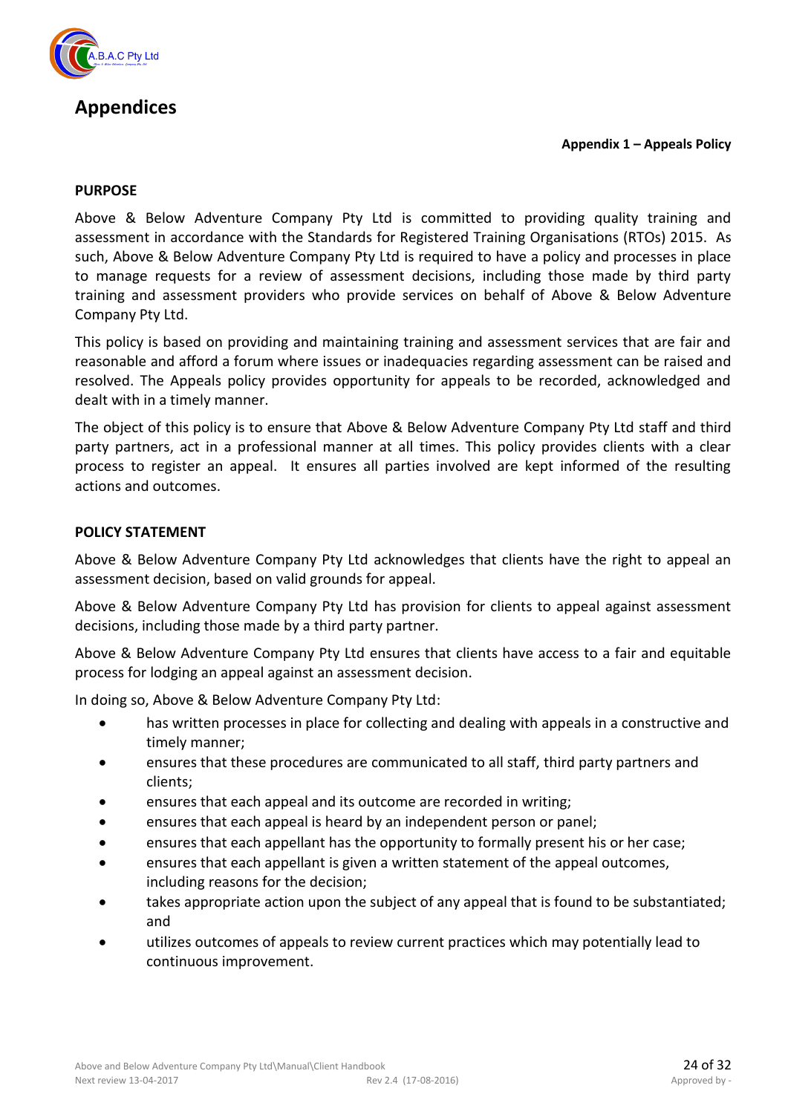

## **Appendices**

**Appendix 1 – Appeals Policy**

#### **PURPOSE**

Above & Below Adventure Company Pty Ltd is committed to providing quality training and assessment in accordance with the Standards for Registered Training Organisations (RTOs) 2015. As such, Above & Below Adventure Company Pty Ltd is required to have a policy and processes in place to manage requests for a review of assessment decisions, including those made by third party training and assessment providers who provide services on behalf of Above & Below Adventure Company Pty Ltd.

This policy is based on providing and maintaining training and assessment services that are fair and reasonable and afford a forum where issues or inadequacies regarding assessment can be raised and resolved. The Appeals policy provides opportunity for appeals to be recorded, acknowledged and dealt with in a timely manner.

The object of this policy is to ensure that Above & Below Adventure Company Pty Ltd staff and third party partners, act in a professional manner at all times. This policy provides clients with a clear process to register an appeal. It ensures all parties involved are kept informed of the resulting actions and outcomes.

#### **POLICY STATEMENT**

Above & Below Adventure Company Pty Ltd acknowledges that clients have the right to appeal an assessment decision, based on valid grounds for appeal.

Above & Below Adventure Company Pty Ltd has provision for clients to appeal against assessment decisions, including those made by a third party partner.

Above & Below Adventure Company Pty Ltd ensures that clients have access to a fair and equitable process for lodging an appeal against an assessment decision.

In doing so, Above & Below Adventure Company Pty Ltd:

- has written processes in place for collecting and dealing with appeals in a constructive and timely manner;
- ensures that these procedures are communicated to all staff, third party partners and clients;
- ensures that each appeal and its outcome are recorded in writing;
- ensures that each appeal is heard by an independent person or panel;
- ensures that each appellant has the opportunity to formally present his or her case;
- ensures that each appellant is given a written statement of the appeal outcomes, including reasons for the decision;
- takes appropriate action upon the subject of any appeal that is found to be substantiated; and
- utilizes outcomes of appeals to review current practices which may potentially lead to continuous improvement.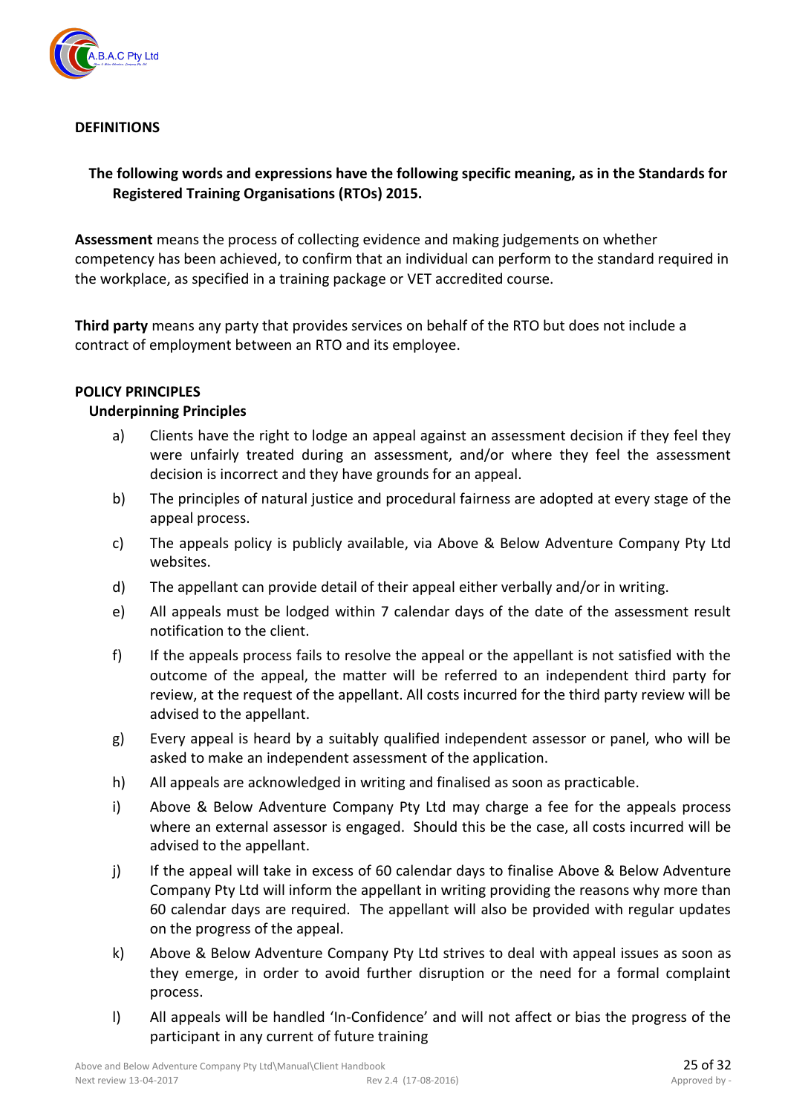

#### **DEFINITIONS**

#### **The following words and expressions have the following specific meaning, as in the Standards for Registered Training Organisations (RTOs) 2015.**

**Assessment** means the process of collecting evidence and making judgements on whether competency has been achieved, to confirm that an individual can perform to the standard required in the workplace, as specified in a training package or VET accredited course.

**Third party** means any party that provides services on behalf of the RTO but does not include a contract of employment between an RTO and its employee.

#### **POLICY PRINCIPLES**

#### **Underpinning Principles**

- a) Clients have the right to lodge an appeal against an assessment decision if they feel they were unfairly treated during an assessment, and/or where they feel the assessment decision is incorrect and they have grounds for an appeal.
- b) The principles of natural justice and procedural fairness are adopted at every stage of the appeal process.
- c) The appeals policy is publicly available, via Above & Below Adventure Company Pty Ltd websites.
- d) The appellant can provide detail of their appeal either verbally and/or in writing.
- e) All appeals must be lodged within 7 calendar days of the date of the assessment result notification to the client.
- f) If the appeals process fails to resolve the appeal or the appellant is not satisfied with the outcome of the appeal, the matter will be referred to an independent third party for review, at the request of the appellant. All costs incurred for the third party review will be advised to the appellant.
- g) Every appeal is heard by a suitably qualified independent assessor or panel, who will be asked to make an independent assessment of the application.
- h) All appeals are acknowledged in writing and finalised as soon as practicable.
- i) Above & Below Adventure Company Pty Ltd may charge a fee for the appeals process where an external assessor is engaged. Should this be the case, all costs incurred will be advised to the appellant.
- j) If the appeal will take in excess of 60 calendar days to finalise Above & Below Adventure Company Pty Ltd will inform the appellant in writing providing the reasons why more than 60 calendar days are required. The appellant will also be provided with regular updates on the progress of the appeal.
- k) Above & Below Adventure Company Pty Ltd strives to deal with appeal issues as soon as they emerge, in order to avoid further disruption or the need for a formal complaint process.
- l) All appeals will be handled 'In-Confidence' and will not affect or bias the progress of the participant in any current of future training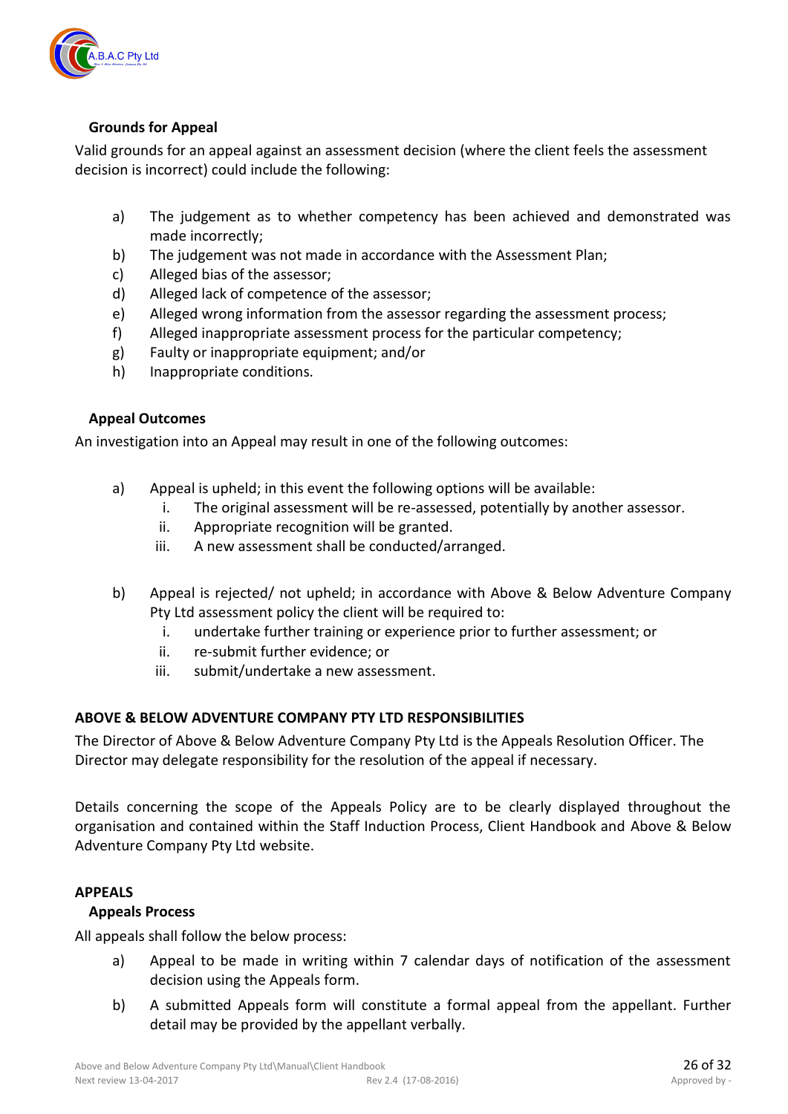

#### **Grounds for Appeal**

Valid grounds for an appeal against an assessment decision (where the client feels the assessment decision is incorrect) could include the following:

- a) The judgement as to whether competency has been achieved and demonstrated was made incorrectly;
- b) The judgement was not made in accordance with the Assessment Plan;
- c) Alleged bias of the assessor;
- d) Alleged lack of competence of the assessor;
- e) Alleged wrong information from the assessor regarding the assessment process;
- f) Alleged inappropriate assessment process for the particular competency;
- g) Faulty or inappropriate equipment; and/or
- h) Inappropriate conditions.

#### **Appeal Outcomes**

An investigation into an Appeal may result in one of the following outcomes:

- a) Appeal is upheld; in this event the following options will be available:
	- i. The original assessment will be re-assessed, potentially by another assessor.
	- ii. Appropriate recognition will be granted.
	- iii. A new assessment shall be conducted/arranged.
- b) Appeal is rejected/ not upheld; in accordance with Above & Below Adventure Company Pty Ltd assessment policy the client will be required to:
	- i. undertake further training or experience prior to further assessment; or
	- ii. re-submit further evidence; or
	- iii. submit/undertake a new assessment.

#### **ABOVE & BELOW ADVENTURE COMPANY PTY LTD RESPONSIBILITIES**

The Director of Above & Below Adventure Company Pty Ltd is the Appeals Resolution Officer. The Director may delegate responsibility for the resolution of the appeal if necessary.

Details concerning the scope of the Appeals Policy are to be clearly displayed throughout the organisation and contained within the Staff Induction Process, Client Handbook and Above & Below Adventure Company Pty Ltd website.

#### **APPEALS**

#### **Appeals Process**

All appeals shall follow the below process:

- a) Appeal to be made in writing within 7 calendar days of notification of the assessment decision using the Appeals form.
- b) A submitted Appeals form will constitute a formal appeal from the appellant. Further detail may be provided by the appellant verbally.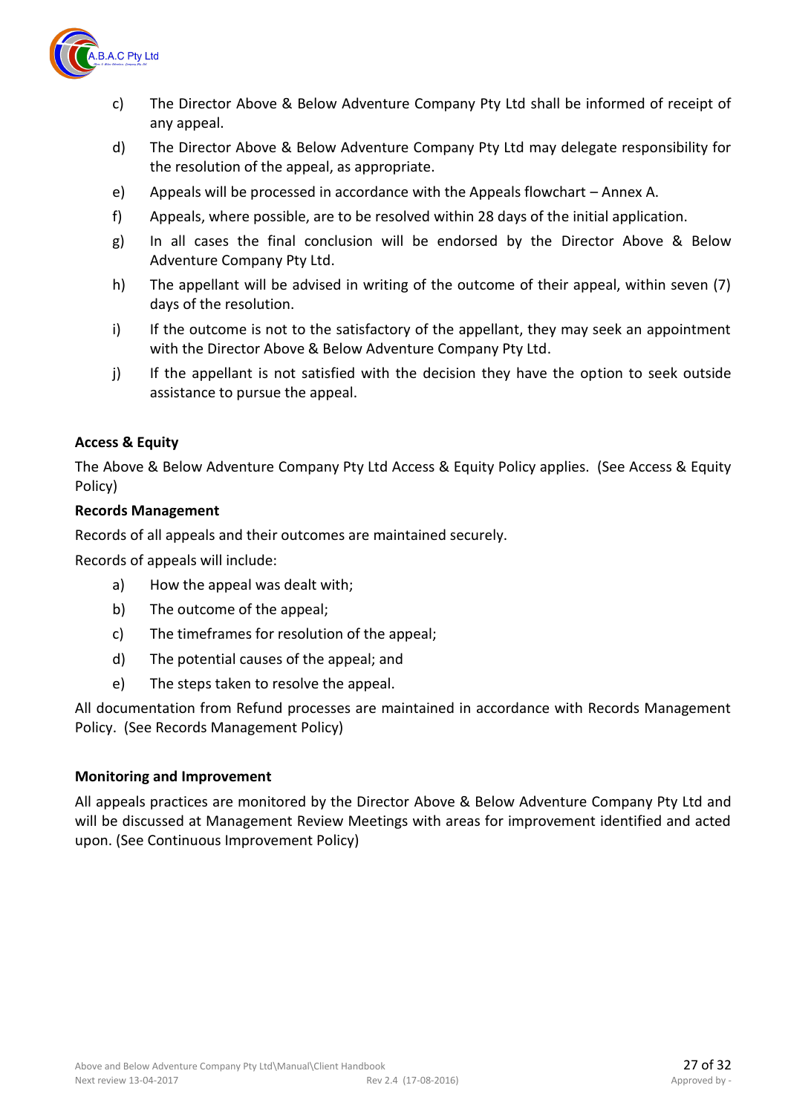

- c) The Director Above & Below Adventure Company Pty Ltd shall be informed of receipt of any appeal.
- d) The Director Above & Below Adventure Company Pty Ltd may delegate responsibility for the resolution of the appeal, as appropriate.
- e) Appeals will be processed in accordance with the Appeals flowchart Annex A.
- f) Appeals, where possible, are to be resolved within 28 days of the initial application.
- g) In all cases the final conclusion will be endorsed by the Director Above & Below Adventure Company Pty Ltd.
- h) The appellant will be advised in writing of the outcome of their appeal, within seven (7) days of the resolution.
- i) If the outcome is not to the satisfactory of the appellant, they may seek an appointment with the Director Above & Below Adventure Company Pty Ltd.
- j) If the appellant is not satisfied with the decision they have the option to seek outside assistance to pursue the appeal.

#### **Access & Equity**

The Above & Below Adventure Company Pty Ltd Access & Equity Policy applies. (See Access & Equity Policy)

#### **Records Management**

Records of all appeals and their outcomes are maintained securely.

Records of appeals will include:

- a) How the appeal was dealt with;
- b) The outcome of the appeal;
- c) The timeframes for resolution of the appeal;
- d) The potential causes of the appeal; and
- e) The steps taken to resolve the appeal.

All documentation from Refund processes are maintained in accordance with Records Management Policy. (See Records Management Policy)

#### **Monitoring and Improvement**

All appeals practices are monitored by the Director Above & Below Adventure Company Pty Ltd and will be discussed at Management Review Meetings with areas for improvement identified and acted upon. (See Continuous Improvement Policy)